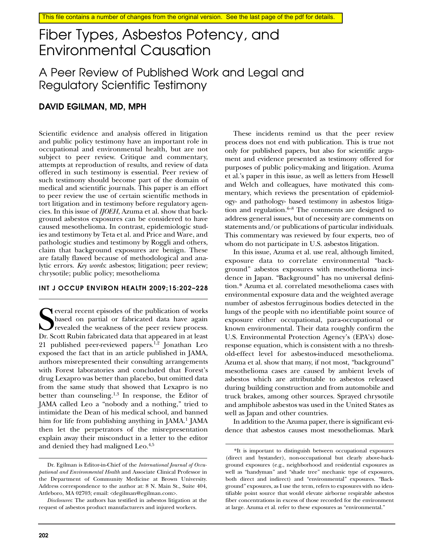# Fiber Types, Asbestos Potency, and Environmental Causation

## A Peer Review of Published Work and Legal and Regulatory Scientific Testimony

## **DAVID EGILMAN, MD, MPH**

Scientific evidence and analysis offered in litigation and public policy testimony have an important role in occupational and environmental health, but are not subject to peer review. Critique and commentary, attempts at reproduction of results, and review of data offered in such testimony is essential. Peer review of such testimony should become part of the domain of medical and scientific journals. This paper is an effort to peer review the use of certain scientific methods in tort litigation and in testimony before regulatory agencies. In this issue of *IJOEH*, Azuma et al. show that background asbestos exposures can be considered to have caused mesothelioma. In contrast, epidemiologic studies and testimony by Teta et al. and Price and Ware, and pathologic studies and testimony by Roggli and others, claim that background exposures are benign. These are fatally flawed because of methodological and analytic errors. *Key words*: asbestos; litigation; peer review; chrysotile; public policy; mesothelioma

#### **INT J OCCUP ENVIRON HEALTH 2009;15:202–228**

Several recent episodes of the publication of works<br>based on partial or fabricated data have again<br>revealed the weakness of the peer review process.<br>Dr. Scott Rubin fabricated data that appeared in at least Peveral recent episodes of the publication of works based on partial or fabricated data have again revealed the weakness of the peer review process. 21 published peer-reviewed papers.<sup>1,2</sup> Jonathan Leo exposed the fact that in an article published in JAMA, authors misrepresented their consulting arrangements with Forest laboratories and concluded that Forest's drug Lexapro was better than placebo, but omitted data from the same study that showed that Lexapro is no better than counseling.<sup>1,3</sup> In response, the Editor of JAMA called Leo a "nobody and a nothing," tried to intimidate the Dean of his medical school, and banned him for life from publishing anything in JAMA.<sup>1</sup> JAMA then let the perpetrators of the misrepresentation explain away their misconduct in a letter to the editor and denied they had maligned Leo.<sup>4,5</sup>

These incidents remind us that the peer review process does not end with publication. This is true not only for published papers, but also for scientific argument and evidence presented as testimony offered for purposes of public policy-making and litigation. Azuma et al.'s paper in this issue, as well as letters from Hessell and Welch and colleagues, have motivated this commentary, which reviews the presentation of epidemiology- and pathology- based testimony in asbestos litigation and regulation.<sup>6–8</sup> The comments are designed to address general issues, but of necessity are comments on statements and/or publications of particular individuals. This commentary was reviewed by four experts, two of whom do not participate in U.S. asbestos litigation.

In this issue, Azuma et al. use real, although limited, exposure data to correlate environmental "background" asbestos exposures with mesothelioma incidence in Japan. "Background" has no universal definition.\* Azuma et al. correlated mesothelioma cases with environmental exposure data and the weighted average number of asbestos ferruginous bodies detected in the lungs of the people with no identifiable point source of exposure either occupational, para-occupational or known environmental. Their data roughly confirm the U.S. Environmental Protection Agency's (EPA's) doseresponse equation, which is consistent with a no threshold-effect level for asbestos-induced mesothelioma. Azuma et al. show that many, if not most, "background" mesothelioma cases are caused by ambient levels of asbestos which are attributable to asbestos released during building construction and from automobile and truck brakes, among other sources. Sprayed chrysotile and amphibole asbestos was used in the United States as well as Japan and other countries.

In addition to the Azuma paper, there is significant evidence that asbestos causes most mesotheliomas. Mark

Dr. Egilman is Editor-in-Chief of the *International Journal of Occupational and Environmental Health* and Associate Clinical Professor in the Department of Community Medicine at Brown University. Address correspondence to the author at: 8 N. Main St., Suite 404, Attleboro, MA 02703; email: <degilman@egilman.com>.

*Disclosures*: The authors has testified in asbestos litigation at the request of asbestos product manufacturers and injured workers.

<sup>\*</sup>It is important to distinguish between occupational exposures (direct and bystander), non-occupational but clearly above-background exposures (e.g., neighborhood and residential exposures as well as "handyman" and "shade tree" mechanic type of exposures, both direct and indirect) and "environmental" exposures. "Background" exposures, as I use the term, refers to exposures with no identifiable point source that would elevate airborne respirable asbestos fiber concentrations in excess of those recorded for the environment at large. Azuma et al. refer to these exposures as "environmental."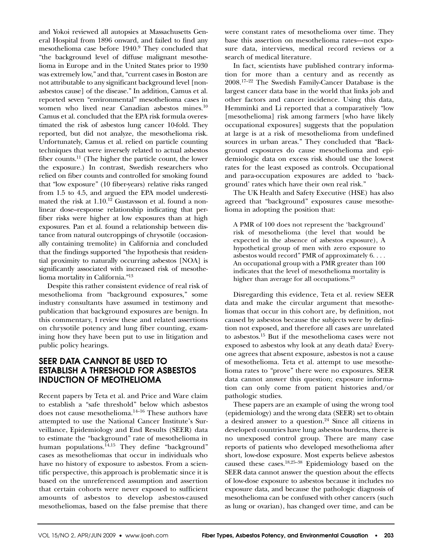and Yokoi reviewed all autopsies at Massachusetts General Hospital from 1896 onward, and failed to find any mesothelioma case before 1940.9 They concluded that "the background level of diffuse malignant mesothelioma in Europe and in the United States prior to 1930 was extremely low," and that, "current cases in Boston are not attributable to any significant background level [nonasbestos cause] of the disease." In addition, Camus et al. reported seven "environmental" mesothelioma cases in women who lived near Canadian asbestos mines.<sup>10</sup> Camus et al. concluded that the EPA risk formula overestimated the risk of asbestos lung cancer 10-fold. They reported, but did not analyze, the mesothelioma risk. Unfortunately, Camus et al. relied on particle counting techniques that were inversely related to actual asbestos fiber counts.<sup>11</sup> (The higher the particle count, the lower the exposure.) In contrast, Swedish researchers who relied on fiber counts and controlled for smoking found that "low exposure" (10 fiber-years) relative risks ranged from 1.5 to 4.5, and argued the EPA model underestimated the risk at  $1.10$ .<sup>12</sup> Gustavsson et al. found a nonlinear dose–response relationship indicating that perfiber risks were higher at low exposures than at high exposures. Pan et al. found a relationship between distance from natural outcroppings of chrysotile (occasionally containing tremolite) in California and concluded that the findings supported "the hypothesis that residential proximity to naturally occurring asbestos [NOA] is significantly associated with increased risk of mesothelioma mortality in California."13

Despite this rather consistent evidence of real risk of mesothelioma from "background exposures," some industry consultants have assumed in testimony and publication that background exposures are benign. In this commentary, I review these and related assertions on chrysotile potency and lung fiber counting, examining how they have been put to use in litigation and public policy hearings.

## **SEER DATA CANNOT BE USED TO ESTABLISH A THRESHOLD FOR ASBESTOS INDUCTION OF MEOTHELIOMA**

Recent papers by Teta et al. and Price and Ware claim to establish a "safe threshold" below which asbestos does not cause mesothelioma.14–16 These authors have attempted to use the National Cancer Institute's Surveillance, Epidemiology and End Results (SEER) data to estimate the "background" rate of mesothelioma in human populations.<sup>14,15</sup> They define "background" cases as mesotheliomas that occur in individuals who have no history of exposure to asbestos. From a scientific perspective, this approach is problematic since it is based on the unreferenced assumption and assertion that certain cohorts were never exposed to sufficient amounts of asbestos to develop asbestos-caused mesotheliomas, based on the false premise that there

were constant rates of mesothelioma over time. They base this assertion on mesothelioma rates—not exposure data, interviews, medical record reviews or a search of medical literature.

In fact, scientists have published contrary information for more than a century and as recently as 2008.17–22 The Swedish Family-Cancer Database is the largest cancer data base in the world that links job and other factors and cancer incidence. Using this data, Hemminki and Li reported that a comparatively "low [mesothelioma] risk among farmers [who have likely occupational exposures] suggests that the population at large is at a risk of mesothelioma from undefined sources in urban areas." They concluded that "Background exposures do cause mesothelioma and epidemiologic data on excess risk should use the lowest rates for the least exposed as controls. Occupational and para-occupation exposures are added to 'background' rates which have their own real risk."

The UK Health and Safety Executive (HSE) has also agreed that "background" exposures cause mesothelioma in adopting the position that:

A PMR of 100 does not represent the 'background' risk of mesothelioma (the level that would be expected in the absence of asbestos exposure), A hypothetical group of men with zero exposure to asbestos would record" PMR of approximately 6. . . . An occupational group with a PMR greater than 100 indicates that the level of mesothelioma mortality is higher than average for all occupations.<sup>23</sup>

Disregarding this evidence, Teta et al. review SEER data and make the circular argument that mesotheliomas that occur in this cohort are, by definition, not caused by asbestos because the subjects were by definition not exposed, and therefore all cases are unrelated to asbestos.15 But if the mesothelioma cases were not exposed to asbestos why look at any death data? Everyone agrees that absent exposure, asbestos is not a cause of mesothelioma. Teta et al. attempt to use mesothelioma rates to "prove" there were no exposures. SEER data cannot answer this question; exposure information can only come from patient histories and/or pathologic studies.

These papers are an example of using the wrong tool (epidemiology) and the wrong data (SEER) set to obtain a desired answer to a question. $24$  Since all citizens in developed countries have lung asbestos burdens, there is no unexposed control group. There are many case reports of patients who developed mesothelioma after short, low-dose exposure. Most experts believe asbestos caused these cases.18,25–38 Epidemiology based on the SEER data cannot answer the question about the effects of low-dose exposure to asbestos because it includes no exposure data, and because the pathologic diagnosis of mesothelioma can be confused with other cancers (such as lung or ovarian), has changed over time, and can be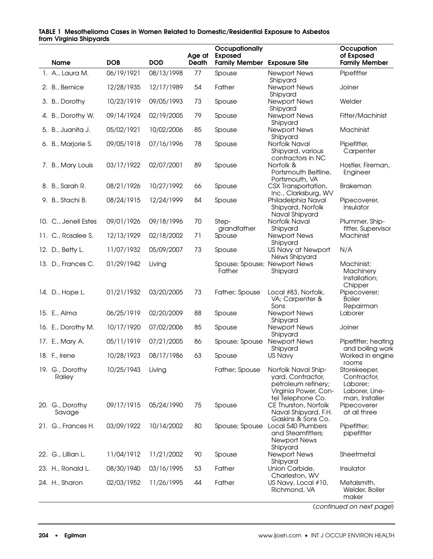#### **Occupationally Occupation Age at Exposed of Exposed Name DOB DOD Death Family Member Exposure Site** 1. A., Laura M. 06/19/1921 08/13/1998 77 Spouse Newport News Pipefitter **Shipvard** 2. B., Bernice 12/28/1935 12/17/1989 54 Father Newport News Joiner Shipyard 3. B., Dorothy 10/23/1919 09/05/1993 73 Spouse Newport News Welder Shipyard<br>Newport News 4. B., Dorothy W. 09/14/1924 02/19/2005 79 Spouse Newport News Fitter/Machinist Shipyard 5. B., Juanita J. 05/02/1921 10/02/2006 85 Spouse Newport News Machinist Shipyard<br>Norfolk Naval 6. B., Marjorie S. 09/05/1918 07/16/1996 78 Spouse Norfolk Naval Pipefitter, Shipyard, various Carpenter contractors in NC 7. B., Mary Louis 03/17/1922 02/07/2001 89 Spouse Norfolk & Hostler, Fireman, Portsmouth Beltline, Engineer Portsmouth, VA 8. B., Sarah R. 08/21/1926 10/27/1992 66 Spouse CSX Transportation, Brakeman Inc., Clarksburg, WV 9. B., Stachi B. 08/24/1915 12/24/1999 84 Spouse Philadelphia Naval Pipecoverer, Shipyard, Norfolk Naval Shipyard 10. C., Jenell Estes 09/01/1926 09/18/1996 70 Step- Norfolk Naval Plummer, Ship-<br>grandfather Shipyard fitter, Supervis Shipyard fitter, Supervisor 11. C., Rosalee S. 12/13/1929 02/18/2002 71 Spouse Newport News Machinist Shipyard 12. D., Betty L. 11/07/1932 05/09/2007 73 Spouse US Navy at Newport N/A News Shipyard 13. D., Frances C. 01/29/1942 Living Spouse; Spouse; Newport News Machinist;<br>Father Shipyard Machinei Machinery Installation; Chipper<br>Pipecoverer; 14. D., Hope L. 01/21/1932 03/20/2005 73 Father; Spouse Local #83, Norfolk, VA; Carpenter & Boiler Sons Repairman<br>Rewport News Laborer 15. E., Alma 06/25/1919 02/20/2009 88 Spouse Newport News Laborer Shipyard 16. E., Dorothy M. 10/17/1920 07/02/2006 85 Spouse Newport News Joiner Shipyard 17. E., Mary A. 05/11/1919 07/21/2005 86 Spouse; Spouse Newport News Pipefitter; heating Shipyard and boiling work 18. F., Irene 10/28/1923 08/17/1986 63 Spouse US Navy Worked in engine rooms<br>Storekeeper, 19. G., Dorothy 10/25/1943 Living Father; Spouse Norfolk Naval Ship- Storekeeper, yard, Contractor, petroleum refinery; Laborer; Virginia Power, Con- Laborer, Linetel Telephone Co. man, Installer 20. G., Dorothy 09/17/1915 05/24/1990 75 Spouse CE Thurston, Norfolk Pipecoverer Savage Naval Shipyard, F.H. at all three Savages of the Shipsen Shipsen Shipsen Shipsen Shipsen Shipsen Shipsen Shipsen Shipsen Shipsen Shipsen Shipsen Shipsen Shipsen Shipsen Shipsen Shipsen Shipsen Shipsen Shipsen Shipse Gaskins & Sons Co. 21. G., Frances H. 03/09/1922 10/14/2002 80 Spouse; Spouse Local 540 Plumbers Pipefitter; and Steamfitters; pipefitter Newport News Shipyard 22. G., Lillian L. 11/04/1912 11/21/2002 90 Spouse Newport News Sheetmetal Shipyard 23. H., Ronald L. 08/30/1940 03/16/1995 53 Father Union Carbide, Insulator Charleston, WV 24. H., Sharon 02/03/1952 11/26/1995 44 Father US Navy, Local #10, Metalsmith, Richmond, VA Welder, Boiler maker

#### **TABLE 1 Mesothelioma Cases in Women Related to Domestic/Residential Exposure to Asbestos from Virginia Shipyards**

(continued on next page)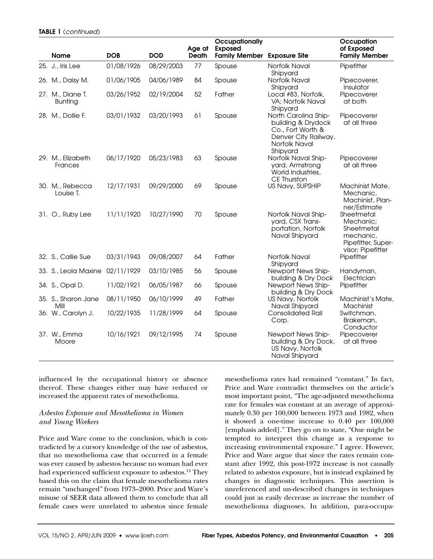| <b>Name</b>                        | <b>DOB</b> | <b>DOD</b> | Age at<br>Death | Occupationally<br><b>Exposed</b><br><b>Family Member Exposure Site</b> |                                                                                                                      | Occupation<br>of Exposed<br><b>Family Member</b>                                              |
|------------------------------------|------------|------------|-----------------|------------------------------------------------------------------------|----------------------------------------------------------------------------------------------------------------------|-----------------------------------------------------------------------------------------------|
| 25. J., Iris Lee                   | 01/08/1926 | 08/29/2003 | 77              | Spouse                                                                 | Norfolk Naval                                                                                                        | Pipefitter                                                                                    |
| 26. M., Daisy M.                   | 01/06/1905 | 04/06/1989 | 84              | Spouse                                                                 | Shipyard<br>Norfolk Naval<br>Shipyard                                                                                | Pipecoverer,<br>Insulator                                                                     |
| 27. M., Diane T.<br><b>Bunting</b> | 03/26/1952 | 02/19/2004 | 52              | Father                                                                 | Local #83, Norfolk,<br>VA; Norfolk Naval<br>Shipyard                                                                 | Pipecoverer<br>at both                                                                        |
| 28. M., Dollie F.                  | 03/01/1932 | 03/20/1993 | 61              | Spouse                                                                 | North Carolina Ship-<br>building & Drydock<br>Co., Fort Worth &<br>Denver City Railway,<br>Norfolk Naval<br>Shipyard | Pipecoverer<br>at all three                                                                   |
| 29. M., Elizabeth<br>Frances       | 06/17/1920 | 05/23/1983 | 63              | Spouse                                                                 | Norfolk Naval Ship-<br>yard, Armstrong<br>World Industries,<br><b>CE Thurston</b>                                    | Pipecoverer<br>at all three                                                                   |
| 30. M., Rebecca<br>Louise T.       | 12/17/1931 | 09/29/2000 | 69              | Spouse                                                                 | US Navy, SUPSHIP                                                                                                     | Machinist Mate,<br>Mechanic,<br>Machinist, Plan-<br>ner/Estimate                              |
| 31. O., Ruby Lee                   | 11/11/1920 | 10/27/1990 | 70              | Spouse                                                                 | Norfolk Naval Ship-<br>yard, CSX Trans-<br>portation, Norfolk<br>Naval Shipyard                                      | Sheetmetal<br>Mechanic;<br>Sheetmetal<br>mechanic,<br>Pipefitter, Super-<br>visor; Pipefitter |
| 32. S., Callie Sue                 | 03/31/1943 | 09/08/2007 | 64              | Father                                                                 | Norfolk Naval<br>Shipyard                                                                                            | Pipefitter                                                                                    |
| 33. S., Leola Maxine               | 02/11/1929 | 03/10/1985 | 56              | Spouse                                                                 | Newport News Ship-<br>building & Dry Dock                                                                            | Handyman,<br>Electrician                                                                      |
| 34. S., Opal D.                    | 11/02/1921 | 06/05/1987 | 66              | Spouse                                                                 | Newport News Ship-<br>building & Dry Dock                                                                            | Pipefitter                                                                                    |
| 35. S., Sharon Jane<br>Mill        | 08/11/1950 | 06/10/1999 | 49              | Father                                                                 | US Navy, Norfolk<br>Naval Shipyard                                                                                   | Machinist's Mate,<br>Machinist                                                                |
| 36. W., Carolyn J.                 | 10/22/1935 | 11/28/1999 | 64              | Spouse                                                                 | <b>Consolidated Rail</b><br>Corp.                                                                                    | Switchman,<br>Brakeman,<br>Conductor                                                          |
| 37. W., Emma<br>Moore              | 10/16/1921 | 09/12/1995 | 74              | Spouse                                                                 | Newport News Ship-<br>building & Dry Dock,<br>US Navy, Norfolk<br>Naval Shipyard                                     | Pipecoverer<br>at all three                                                                   |

influenced by the occupational history or absence thereof. These changes either may have reduced or increased the apparent rates of mesothelioma.

#### *Asbestos Exposure and Mesothelioma in Women and Young Workers*

Price and Ware come to the conclusion, which is contradicted by a cursory knowledge of the use of asbestos, that no mesothelioma case that occurred in a female was ever caused by asbestos because no woman had ever had experienced sufficient exposure to asbestos.<sup>14</sup> They based this on the claim that female mesothelioma rates remain "unchanged" from 1973–2000. Price and Ware's misuse of SEER data allowed them to conclude that all female cases were unrelated to asbestos since female

mesothelioma rates had remained "constant." In fact, Price and Ware contradict themselves on the article's most important point, "The age-adjusted mesothelioma rate for females was constant at an average of approximately 0.30 per 100,000 between 1973 and 1982, when it showed a one-time increase to 0.40 per 100,000 [emphasis added]." They go on to state, "One might be tempted to interpret this change as a response to increasing environmental exposure." I agree. However, Price and Ware argue that since the rates remain constant after 1992, this post-1972 increase is not causally related to asbestos exposure, but is instead explained by changes in diagnostic techniques. This assertion is unreferenced and un-described changes in techniques could just as easily decrease as increase the number of mesothelioma diagnoses. In addition, para-occupa-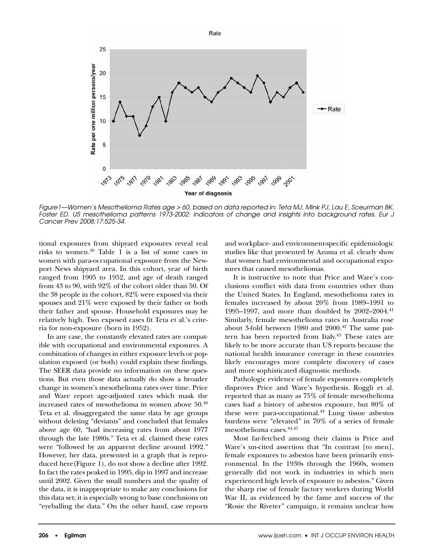

Figure1—Women's Mesothelioma Rates age > 60, based on data reported in: Teta MJ, Mink PJ, Lau E, Sceurman BK, Foster ED. US mesothelioma patterns 1973-2002: indicators of change and insights into background rates. Eur J Cancer Prev 2008;17:525-34.

tional exposures from shipyard exposures reveal real risks to women.39 Table 1 is a list of some cases in women with para-occupational exposure from the Newport News shipyard area. In this cohort, year of birth ranged from 1905 to 1952, and age of death ranged from 43 to 90, with 92% of the cohort older than 50. Of the 38 people in the cohort, 82% were exposed via their spouses and 21% were exposed by their father or both their father and spouse. Household exposures may be relatively high. Two exposed cases fit Teta et al.'s criteria for non-exposure (born in 1952).

In any case, the constantly elevated rates are compatible with occupational and environmental exposures. A combination of changes in either exposure levels or population exposed (or both) could explain these findings. The SEER data provide no information on these questions. But even those data actually do show a broader change in women's mesothelioma rates over time. Price and Ware report age-adjusted rates which mask the increased rates of mesothelioma in women above 50.40 Teta et al. disaggregated the same data by age groups without deleting "deviants" and concluded that females above age 60, "had increasing rates from about 1977 through the late 1980s." Teta et al. claimed these rates were "followed by an apparent decline around 1992." However, her data, presented in a graph that is reproduced here(Figure 1), do not show a decline after 1992. In fact the rates peaked in 1995, dip in 1997 and increase until 2002. Given the small numbers and the quality of the data, it is inappropriate to make any conclusions for this data set; it is especially wrong to base conclusions on "eyeballing the data." On the other hand, case reports

and workplace- and environment-specific epidemiologic studies like that presented by Azuma et al. clearly show that women had environmental and occupational exposures that caused mesotheliomas.

It is instructive to note that Price and Ware's conclusions conflict with data from countries other than the United States. In England, mesothelioma rates in females increased by about 20% from 1989–1991 to 1995–1997, and more than doubled by  $2002-2004$ .<sup>41</sup> Similarly, female mesothelioma rates in Australia rose about 3-fold between 1980 and  $2000.^{42}$  The same pattern has been reported from Italy.<sup>43</sup> These rates are likely to be more accurate than US reports because the national health insurance coverage in these countries likely encourages more complete discovery of cases and more sophisticated diagnostic methods.

Pathologic evidence of female exposures completely disproves Price and Ware's hypothesis. Roggli et al. reported that as many as 75% of female mesothelioma cases had a history of asbestos exposure, but 80% of these were para-occupational.<sup>44</sup> Lung tissue asbestos burdens were "elevated" in 70% of a series of female mesothelioma cases.44,45

Most far-fetched among their claims is Price and Ware's un-cited assertion that "In contrast [to men], female exposures to asbestos have been primarily environmental. In the 1930s through the 1960s, women generally did not work in industries in which men experienced high levels of exposure to asbestos." Given the sharp rise of female factory workers during World War II, as evidenced by the fame and success of the "Rosie the Riveter" campaign, it remains unclear how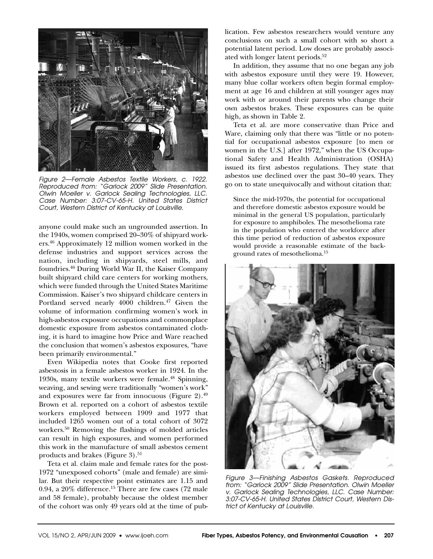

Figure 2—Female Asbestos Textile Workers, c. 1922. Reproduced from: "Garlock 2009" Slide Presentation. Olwin Moeller v. Garlock Sealing Technologies, LLC. Case Number: 3:07-CV-65-H. United States District Court, Western District of Kentucky at Louisville.

anyone could make such an ungrounded assertion. In the 1940s, women comprised 20–30% of shipyard workers.46 Approximately 12 million women worked in the defense industries and support services across the nation, including in shipyards, steel mills, and foundries.46 During World War II, the Kaiser Company built shipyard child care centers for working mothers, which were funded through the United States Maritime Commission. Kaiser's two shipyard childcare centers in Portland served nearly  $4000$  children.<sup>47</sup> Given the volume of information confirming women's work in high-asbestos exposure occupations and commonplace domestic exposure from asbestos contaminated clothing, it is hard to imagine how Price and Ware reached the conclusion that women's asbestos exposures, "have been primarily environmental."

Even Wikipedia notes that Cooke first reported asbestosis in a female asbestos worker in 1924. In the 1930s, many textile workers were female.<sup>48</sup> Spinning, weaving, and sewing were traditionally "women's work" and exposures were far from innocuous (Figure 2).49 Brown et al. reported on a cohort of asbestos textile workers employed between 1909 and 1977 that included 1265 women out of a total cohort of 3072 workers.50 Removing the flashings of molded articles can result in high exposures, and women performed this work in the manufacture of small asbestos cement products and brakes (Figure 3). $51$ 

Teta et al. claim male and female rates for the post-1972 "unexposed cohorts" (male and female) are similar. But their respective point estimates are 1.15 and 0.94, a  $20\%$  difference.<sup>15</sup> There are few cases (72 male and 58 female), probably because the oldest member of the cohort was only 49 years old at the time of publication. Few asbestos researchers would venture any conclusions on such a small cohort with so short a potential latent period. Low doses are probably associated with longer latent periods.<sup>52</sup>

In addition, they assume that no one began any job with asbestos exposure until they were 19. However, many blue collar workers often begin formal employment at age 16 and children at still younger ages may work with or around their parents who change their own asbestos brakes. These exposures can be quite high, as shown in Table 2.

Teta et al. are more conservative than Price and Ware, claiming only that there was "little or no potential for occupational asbestos exposure [to men or women in the U.S.] after 1972," when the US Occupational Safety and Health Administration (OSHA) issued its first asbestos regulations. They state that asbestos use declined over the past 30–40 years. They go on to state unequivocally and without citation that:

Since the mid-1970s, the potential for occupational and therefore domestic asbestos exposure would be minimal in the general US population, particularly for exposure to amphiboles. The mesothelioma rate in the population who entered the workforce after this time period of reduction of asbestos exposure would provide a reasonable estimate of the background rates of mesothelioma.15



Figure 3—Finishing Asbestos Gaskets. Reproduced from: "Garlock 2009" Slide Presentation. Olwin Moeller v. Garlock Sealing Technologies, LLC. Case Number: 3:07-CV-65-H. United States District Court, Western District of Kentucky at Louisville.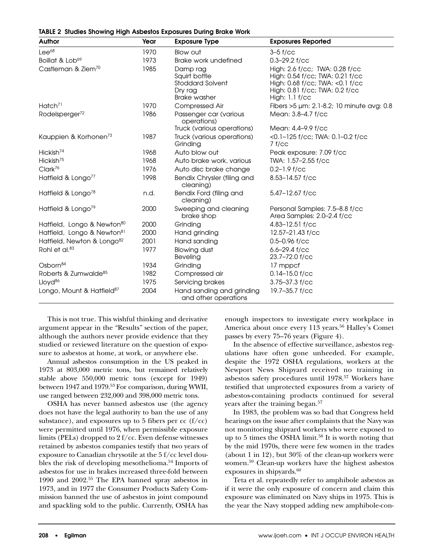|  |  |  | TABLE 2 Studies Showing High Asbestos Exposures During Brake Work |  |  |
|--|--|--|-------------------------------------------------------------------|--|--|
|--|--|--|-------------------------------------------------------------------|--|--|

| Author                                 | Year | <b>Exposure Type</b>                                                            | <b>Exposures Reported</b>                                                                                                                                       |
|----------------------------------------|------|---------------------------------------------------------------------------------|-----------------------------------------------------------------------------------------------------------------------------------------------------------------|
| $Lee^{68}$                             | 1970 | Blow out                                                                        | $3-5$ f/cc                                                                                                                                                      |
| Boillat & Lob <sup>69</sup>            | 1973 | Brake work undefined                                                            | $0.3 - 29.2$ f/cc                                                                                                                                               |
| Castleman & Ziem <sup>70</sup>         | 1985 | Damp rag<br>Squirt bottle<br>Stoddard Solvent<br>Dry rag<br><b>Brake washer</b> | High: 2.6 f/cc; TWA: 0.28 f/cc<br>High: 0.54 f/cc; TWA: 0.21 f/cc<br>High: $0.68$ f/cc; TWA: < $0.1$ f/cc<br>High: 0.81 f/cc; TWA: 0.2 f/cc<br>High: $1.1$ f/cc |
| Hatch <sup>71</sup>                    | 1970 | Compressed Air                                                                  | Fibers $>5$ µm: 2.1-8.2; 10 minute avg: 0.8                                                                                                                     |
| Rodelsperger <sup>72</sup>             | 1986 | Passenger car (various<br>operations)                                           | Mean: 3.8-4.7 f/cc                                                                                                                                              |
|                                        |      | Truck (various operations)                                                      | Mean: 4.4-9.9 f/cc                                                                                                                                              |
| Kauppien & Korhonen <sup>73</sup>      | 1987 | Truck (various operations)<br>Grinding                                          | <0.1-125 f/cc; TWA: 0.1-0.2 f/cc<br>7 f/cc                                                                                                                      |
| Hickish <sup>74</sup>                  | 1968 | Auto blow out                                                                   | Peak exposure: 7.09 f/cc                                                                                                                                        |
| Hickish <sup>75</sup>                  | 1968 | Auto brake work, various                                                        | TWA: 1.57-2.55 f/cc                                                                                                                                             |
| $Cl$ ark <sup>76</sup>                 | 1976 | Auto disc brake change                                                          | $0.2 - 1.9$ f/cc                                                                                                                                                |
| Hatfield & Longo <sup>77</sup>         | 1998 | Bendix Chrysler (filing and<br>cleaning)                                        | 8.53-14.57 f/cc                                                                                                                                                 |
| Hatfield & Longo <sup>78</sup>         | n.d. | Bendix Ford (filing and<br>cleaning)                                            | 5.47-12.67 f/cc                                                                                                                                                 |
| Hatfield & Longo <sup>79</sup>         | 2000 | Sweeping and cleaning<br>brake shop                                             | Personal Samples: 7.5-8.8 f/cc<br>Area Samples: 2.0-2.4 f/cc                                                                                                    |
| Hatfield, Longo & Newton80             | 2000 | Grinding                                                                        | 4.83-12.51 f/cc                                                                                                                                                 |
| Hatfield, Longo & Newton <sup>81</sup> | 2000 | Hand grinding                                                                   | 12.57-21.43 f/cc                                                                                                                                                |
| Hatfield, Newton & Longo <sup>82</sup> | 2001 | Hand sanding                                                                    | $0.5 - 0.96$ f/cc                                                                                                                                               |
| Rohl et al. <sup>83</sup>              | 1977 | <b>Blowing dust</b><br>Beveling                                                 | $6.6 - 29.4$ f/cc<br>23.7-72.0 f/cc                                                                                                                             |
| Osborn <sup>84</sup>                   | 1934 | Grinding                                                                        | 17 mppcf                                                                                                                                                        |
| Roberts & Zumwalde <sup>85</sup>       | 1982 | Compressed air                                                                  | $0.14 - 15.0$ f/cc                                                                                                                                              |
| Lloyd <sup>86</sup>                    | 1975 | Servicing brakes                                                                | $3.75 - 37.3$ f/cc                                                                                                                                              |
| Longo, Mount & Hatfield <sup>87</sup>  | 2004 | Hand sanding and grinding<br>and other operations                               | 19.7-35.7 f/cc                                                                                                                                                  |

This is not true. This wishful thinking and derivative argument appear in the "Results" section of the paper, although the authors never provide evidence that they studied or reviewed literature on the question of exposure to asbestos at home, at work, or anywhere else.

Annual asbestos consumption in the US peaked in 1973 at 803,000 metric tons, but remained relatively stable above 550,000 metric tons (except for 1949) between 1947 and 1979.<sup>53</sup> For comparison, during WWII, use ranged between 232,000 and 398,000 metric tons.

OSHA has never banned asbestos use (the agency does not have the legal authority to ban the use of any substance), and exposures up to 5 fibers per cc  $(f/cc)$ were permitted until 1976, when permissible exposure limits (PELs) dropped to 2 f/cc. Even defense witnesses retained by asbestos companies testify that two years of exposure to Canadian chrysotile at the 5 f/cc level doubles the risk of developing mesothelioma.<sup>54</sup> Imports of asbestos for use in brakes increased three-fold between 1990 and 2002.55 The EPA banned spray asbestos in 1973, and in 1977 the Consumer Products Safety Commission banned the use of asbestos in joint compound and spackling sold to the public. Currently, OSHA has

enough inspectors to investigate every workplace in America about once every 113 years.<sup>56</sup> Halley's Comet passes by every 75–76 years (Figure 4).

In the absence of effective surveillance, asbestos regulations have often gone unheeded. For example, despite the 1972 OSHA regulations, workers at the Newport News Shipyard received no training in asbestos safety procedures until 1978.57 Workers have testified that unprotected exposures from a variety of asbestos-containing products continued for several years after the training began.<sup>57</sup>

In 1983, the problem was so bad that Congress held hearings on the issue after complaints that the Navy was not monitoring shipyard workers who were exposed to up to 5 times the OSHA limit.<sup>58</sup> It is worth noting that by the mid 1970s, there were few women in the trades (about 1 in 12), but 30% of the clean-up workers were women.59 Clean-up workers have the highest asbestos exposures in ship vards. $60$ 

Teta et al. repeatedly refer to amphibole asbestos as if it were the only exposure of concern and claim this exposure was eliminated on Navy ships in 1975. This is the year the Navy stopped adding new amphibole-con-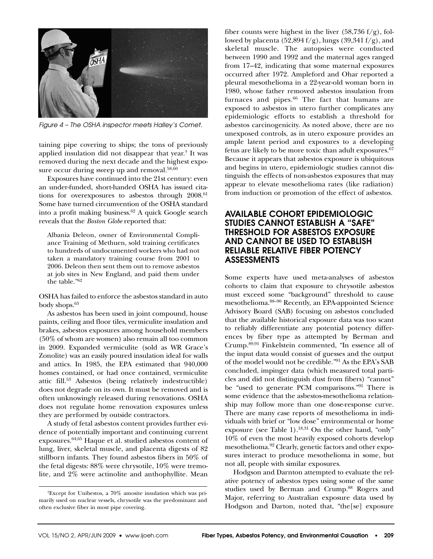

Figure 4 – The OSHA inspector meets Halley's Comet.

taining pipe covering to ships; the tons of previously applied insulation did not disappear that year.† It was removed during the next decade and the highest exposure occur during sweep up and removal.<sup>58,60</sup>

Exposures have continued into the 21st century: even an under-funded, short-handed OSHA has issued citations for overexposures to asbestos through 2008.<sup>61</sup> Some have turned circumvention of the OSHA standard into a profit making business.62 A quick Google search reveals that the *Boston Globe* reported that:

Albania Deleon, owner of Environmental Compliance Training of Methuen, sold training certificates to hundreds of undocumented workers who had not taken a mandatory training course from 2001 to 2006. Deleon then sent them out to remove asbestos at job sites in New England, and paid them under the table."62

OSHA has failed to enforce the asbestos standard in auto body shops.<sup>63</sup>

As asbestos has been used in joint compound, house paints, ceiling and floor tiles, vermiculite insulation and brakes, asbestos exposures among household members (50% of whom are women) also remain all too common in 2009. Expanded vermiculite (sold as WR Grace's Zonolite) was an easily poured insulation ideal for walls and attics. In 1985, the EPA estimated that 940,000 homes contained, or had once contained, vermiculite attic fill.53 Asbestos (being relatively indestructible) does not degrade on its own. It must be removed and is often unknowingly released during renovations. OSHA does not regulate home renovation exposures unless they are performed by outside contractors.

A study of fetal asbestos content provides further evidence of potentially important and continuing current exposures.64,65 Haque et al. studied asbestos content of lung, liver, skeletal muscle, and placenta digests of 82 stillborn infants. They found asbestos fibers in 50% of the fetal digests: 88% were chrysotile, 10% were tremolite, and 2% were actinolite and anthophyllite. Mean

fiber counts were highest in the liver  $(58,736 \text{ f/g})$ , followed by placenta (52,894 f/g), lungs (39,341 f/g), and skeletal muscle. The autopsies were conducted between 1990 and 1992 and the maternal ages ranged from 17–42, indicating that some maternal exposures occurred after 1972. Ampleford and Ohar reported a pleural mesothelioma in a 22-year-old woman born in 1980, whose father removed asbestos insulation from furnaces and pipes. $66$  The fact that humans are exposed to asbestos in utero further complicates any epidemiologic efforts to establish a threshold for asbestos carcinogenicity. As noted above, there are no unexposed controls, as in utero exposure provides an ample latent period and exposures to a developing fetus are likely to be more toxic than adult exposures.<sup>67</sup> Because it appears that asbestos exposure is ubiquitous and begins in utero, epidemiologic studies cannot distinguish the effects of non-asbestos exposures that may appear to elevate mesothelioma rates (like radiation) from induction or promotion of the effect of asbestos.

## **AVAILABLE COHORT EPIDEMIOLOGIC STUDIES CANNOT ESTABLISH A "SAFE" THRESHOLD FOR ASBESTOS EXPOSURE AND CANNOT BE USED TO ESTABLISH RELIABLE RELATIVE FIBER POTENCY ASSESSMENTS**

Some experts have used meta-analyses of asbestos cohorts to claim that exposure to chrysotile asbestos must exceed some "background" threshold to cause mesothelioma.88–90 Recently, an EPA-appointed Science Advisory Board (SAB) focusing on asbestos concluded that the available historical exposure data was too scant to reliably differentiate any potential potency differences by fiber type as attempted by Berman and Crump.89,91 Finkelstein commented, "In essence all of the input data would consist of guesses and the output of the model would not be credible."91 As the EPA's SAB concluded, impinger data (which measured total particles and did not distinguish dust from fibers) "cannot" be "used to generate PCM comparisons."<sup>91</sup> There is some evidence that the asbestos-mesothelioma relationship may follow more than one dose-response curve. There are many case reports of mesothelioma in individuals with brief or "low dose" environmental or home exposure (see Table 1). $^{18,31}$  On the other hand, "only" 10% of even the most heavily exposed cohorts develop mesothelioma.<sup>92</sup> Clearly, genetic factors and other exposures interact to produce mesothelioma in some, but not all, people with similar exposures.

Hodgson and Darnton attempted to evaluate the relative potency of asbestos types using some of the same studies used by Berman and Crump.<sup>88</sup> Rogers and Major, referring to Australian exposure data used by Hodgson and Darton, noted that, "the[se] exposure

<sup>†</sup> Except for Unibestos, a 70% amosite insulation which was primarily used on nuclear vessels, chrysotile was the predominant and often exclusive fiber in most pipe covering.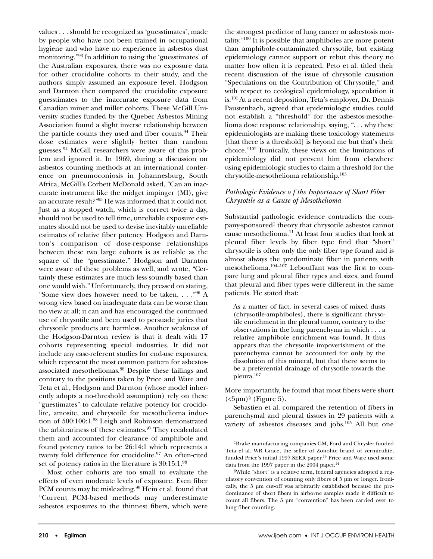values . . . should be recognized as 'guesstimates', made by people who have not been trained in occupational hygiene and who have no experience in asbestos dust monitoring."93 In addition to using the 'guesstimates' of the Australian exposures, there was no exposure data for other crocidolite cohorts in their study, and the authors simply assumed an exposure level. Hodgson and Darnton then compared the crocidolite exposure guesstimates to the inaccurate exposure data from Canadian miner and miller cohorts. These McGill University studies funded by the Quebec Asbestos Mining Association found a slight inverse relationship between the particle counts they used and fiber counts.<sup>94</sup> Their dose estimates were slightly better than random guesses.94 McGill researchers were aware of this problem and ignored it. In 1969, during a discussion on asbestos counting methods at an international conference on pneumoconiosis in Johannesburg, South Africa, McGill's Corbett McDonald asked, "Can an inaccurate instrument like the midget impinger (MI), give an accurate result?"95 He was informed that it could not. Just as a stopped watch, which is correct twice a day, should not be used to tell time, unreliable exposure estimates should not be used to devise inevitably unreliable estimates of relative fiber potency. Hodgson and Darnton's comparison of dose-response relationships between these two large cohorts is as reliable as the square of the "guesstimate." Hodgson and Darnton were aware of these problems as well, and wrote, "Certainly these estimates are much less soundly based than one would wish." Unfortunately, they pressed on stating, "Some view does however need to be taken. . . ."96 A wrong view based on inadequate data can be worse than no view at all; it can and has encouraged the continued use of chrysotile and been used to persuade juries that chrysotile products are harmless. Another weakness of the Hodgson-Darnton review is that it dealt with 17 cohorts representing special industries. It did not include any case-referent studies for end-use exposures, which represent the most common pattern for asbestosassociated mesotheliomas.88 Despite these failings and contrary to the positions taken by Price and Ware and Teta et al., Hodgson and Darnton (whose model inherently adopts a no-threshold assumption) rely on these "guestimates" to calculate relative potency for crocidolite, amosite, and chrysotile for mesothelioma induction of 500:100:1.88 Leigh and Robinson demonstrated the arbitrariness of these estimates.<sup>97</sup> They recalculated them and accounted for clearance of amphibole and found potency ratios to be 26:14:1 which represents a twenty fold difference for crocidolite.<sup>97</sup> An often-cited set of potency ratios in the literature is  $30:15:1.^{98}$ 

Most other cohorts are too small to evaluate the effects of even moderate levels of exposure. Even fiber PCM counts may be misleading.<sup>99</sup> Hein et al. found that "Current PCM-based methods may underestimate asbestos exposures to the thinnest fibers, which were

the strongest predictor of lung cancer or asbestosis mortality."100 It is possible that amphiboles are more potent than amphibole-contaminated chrysotile, but existing epidemiology cannot support or rebut this theory no matter how often it is repeated. Peto et al. titled their recent discussion of the issue of chrysotile causation "Speculations on the Contribution of Chrysotile," and with respect to ecological epidemiology, speculation it is.101 At a recent deposition, Teta's employer, Dr. Dennis Paustenbach, agreed that epidemiologic studies could not establish a "threshold" for the asbestos-mesothelioma dose response relationship, saying, ". . . why these epidemiologists are making these toxicology statements [that there is a threshold] is beyond me but that's their choice."102 Ironically, these views on the limitations of epidemiology did not prevent him from elsewhere using epidemiologic studies to claim a threshold for the chrysotile-mesothelioma relationship.103

#### *Pathologic Evidence o f the Importance of Short Fiber Chrysotile as a Cause of Mesothelioma*

Substantial pathologic evidence contradicts the company-sponsored‡ theory that chrysotile asbestos cannot cause mesothelioma.11 At least four studies that look at pleural fiber levels by fiber type find that "short" chrysotile is often only the only fiber type found and is almost always the predominate fiber in patients with mesothelioma.104–107 Lebouffant was the first to compare lung and pleural fiber types and sizes, and found that pleural and fiber types were different in the same patients. He stated that:

As a matter of fact, in several cases of mixed dusts (chrysotile-amphiboles), there is significant chrysotile enrichment in the pleural tumor, contrary to the observations in the lung parenchyma in which . . . a relative amphibole enrichment was found. It thus appears that the chrysotile impoverishment of the parenchyma cannot be accounted for only by the dissolution of this mineral, but that there seems to be a preferential drainage of chrysotile towards the pleura.107

More importantly, he found that most fibers were short  $(<5 \mu m$ )<sup>§</sup> (Figure 5).

Sebastien et al. compared the retention of fibers in parenchymal and pleural tissues in 29 patients with a variety of asbestos diseases and jobs. $105$  All but one

<sup>‡</sup> Brake manufacturing companies GM, Ford and Chrysler funded Teta el al. WR Grace, the seller of Zonolite brand of vermiculite, funded Price's initial 1997 SEER paper.<sup>16</sup> Price and Ware used some data from the 1997 paper in the 2004 paper.<sup>14</sup>

<sup>§</sup> While "short" is a relative term, federal agencies adopted a regulatory convention of counting only fibers of 5 μm or longer. Ironically, the 5 μm cut-off was arbitrarily established because the predominance of short fibers in airborne samples made it difficult to count all fibers. The 5 μm "convention" has been carried over to lung fiber counting.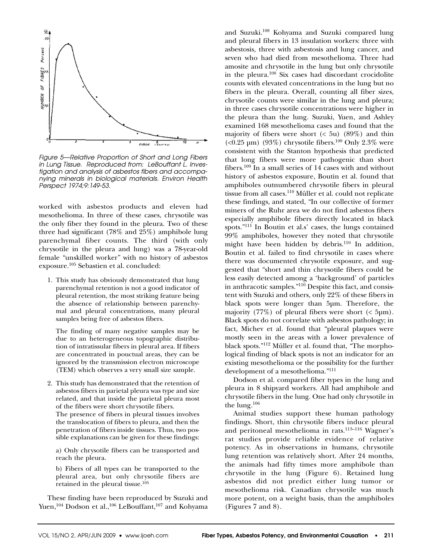

Figure 5—Relative Proportion of Short and Long Fibers in Lung Tissue. Reproduced from: LeBouffant L. Investigation and analysis of asbestos fibers and accompanying minerals in biological materials. Environ Health Perspect 1974;9:149-53.

worked with asbestos products and eleven had mesothelioma. In three of these cases, chrysotile was the only fiber they found in the pleura. Two of these three had significant (78% and 25%) amphibole lung parenchymal fiber counts. The third (with only chrysotile in the pleura and lung) was a 78-year-old female "unskilled worker" with no history of asbestos exposure.105 Sebastien et al. concluded:

1. This study has obviously demonstrated that lung parenchymal retention is not a good indicator of pleural retention, the most striking feature being the absence of relationship between parenchymal and pleural concentrations, many pleural samples being free of asbestos fibers.

The finding of many negative samples may be due to an heterogeneous topographic distribution of intratissular fibers in pleural area. If fibers are concentrated in pouctual areas, they can be ignored by the transmission electron microscope (TEM) which observes a very small size sample.

2. This study has demonstrated that the retention of asbestos fibers in parietal pleura was type and size related, and that inside the parietal pleura most of the fibers were short chrysotile fibers. The presence of fibers in pleural tissues involves the translocation of fibers to pleura, and then the penetration of fibers inside tissues. Thus, two possible explanations can be given for these findings:

a) Only chrysotile fibers can be transported and reach the pleura.

b) Fibers of all types can be transported to the pleural area, but only chrysotile fibers are retained in the pleural tissue.105

These finding have been reproduced by Suzuki and Yuen,<sup>104</sup> Dodson et al.,<sup>106</sup> LeBouffant,<sup>107</sup> and Kohyama and Suzuki.108 Kohyama and Suzuki compared lung and pleural fibers in 13 insulation workers: three with asbestosis, three with asbestosis and lung cancer, and seven who had died from mesothelioma. Three had amosite and chrysotile in the lung but only chrysotile in the pleura.108 Six cases had discordant crocidolite counts with elevated concentrations in the lung but no fibers in the pleura. Overall, counting all fiber sizes, chrysotile counts were similar in the lung and pleura; in three cases chrysotile concentrations were higher in the pleura than the lung. Suzuki, Yuen, and Ashley examined 168 mesothelioma cases and found that the majority of fibers were short  $( $5u$ ) (89%) and thin$ (<0.25 µm) (93%) chrysotile fibers.<sup>109</sup> Only 2.3% were consistent with the Stanton hypothesis that predicted that long fibers were more pathogenic than short fibers.109 In a small series of 14 cases with and without history of asbestos exposure, Boutin et al. found that amphiboles outnumbered chrysotile fibers in pleural tissue from all cases.<sup>110</sup> Müller et al. could not replicate these findings, and stated, "In our collective of former miners of the Ruhr area we do not find asbestos fibers especially amphibole fibers directly located in black spots."111 In Boutin et al.s' cases, the lungs contained 99% amphiboles, however they noted that chrysotile might have been hidden by debris.<sup>110</sup> In addition, Boutin et al. failed to find chrysotile in cases where there was documented chrysotile exposure, and suggested that "short and thin chrysotile fibers could be less easily detected among a 'background' of particles in anthracotic samples."<sup>110</sup> Despite this fact, and consistent with Suzuki and others, only 22% of these fibers in black spots were longer than 5μm. Therefore, the majority  $(77%)$  of pleural fibers were short  $(<5 \mu m)$ . Black spots do not correlate with asbestos pathology; in fact, Michev et al. found that "pleural plaques were mostly seen in the areas with a lower prevalence of black spots."112 Müller et al. found that, "The morphological finding of black spots is not an indicator for an existing mesothelioma or the possibility for the further development of a mesothelioma."111

Dodson et al. compared fiber types in the lung and pleura in 8 shipyard workers. All had amphibole and chrysotile fibers in the lung. One had only chrysotile in the lung.106

Animal studies support these human pathology findings. Short, thin chrysotile fibers induce pleural and peritoneal mesothelioma in rats.<sup>113-116</sup> Wagner's rat studies provide reliable evidence of relative potency. As in observations in humans, chrysotile lung retention was relatively short. After 24 months, the animals had fifty times more amphibole than chrysotile in the lung (Figure 6). Retained lung asbestos did not predict either lung tumor or mesothelioma risk. Canadian chrysotile was much more potent, on a weight basis, than the amphiboles (Figures 7 and 8).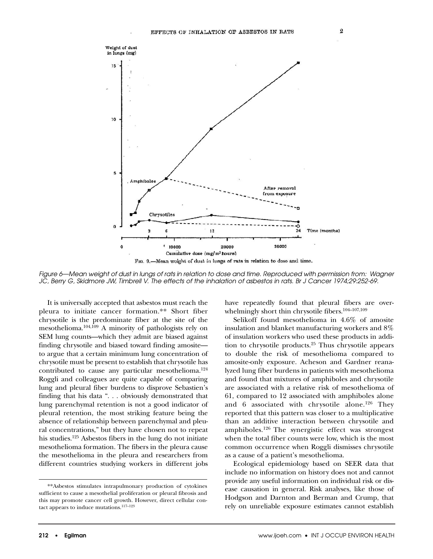

Figure 6—Mean weight of dust in lungs of rats in relation to dose and time. Reproduced with permission from: Wagner JC, Berry G, Skidmore JW, Timbrell V. The effects of the inhalation of asbestos in rats. Br J Cancer 1974;29:252-69.

It is universally accepted that asbestos must reach the pleura to initiate cancer formation.\*\* Short fiber chrysotile is the predominate fiber at the site of the mesothelioma.104,109 A minority of pathologists rely on SEM lung counts—which they admit are biased against finding chrysotile and biased toward finding amosite to argue that a certain minimum lung concentration of chrysotile must be present to establish that chrysotile has contributed to cause any particular mesothelioma.<sup>124</sup> Roggli and colleagues are quite capable of comparing lung and pleural fiber burdens to disprove Sebastien's finding that his data ". . . obviously demonstrated that lung parenchymal retention is not a good indicator of pleural retention, the most striking feature being the absence of relationship between parenchymal and pleural concentrations," but they have chosen not to repeat his studies.125 Asbestos fibers in the lung do not initiate mesothelioma formation. The fibers in the pleura cause the mesothelioma in the pleura and researchers from different countries studying workers in different jobs

have repeatedly found that pleural fibers are overwhelmingly short thin chrysotile fibers.<sup>104-107,109</sup>

Selikoff found mesothelioma in 4.6% of amosite insulation and blanket manufacturing workers and 8% of insulation workers who used these products in addition to chrysotile products.25 Thus chrysotile appears to double the risk of mesothelioma compared to amosite-only exposure. Acheson and Gardner reanalyzed lung fiber burdens in patients with mesothelioma and found that mixtures of amphiboles and chrysotile are associated with a relative risk of mesothelioma of 61, compared to 12 associated with amphiboles alone and 6 associated with chrysotile alone.<sup>126</sup> They reported that this pattern was closer to a multiplicative than an additive interaction between chrysotile and amphiboles.<sup>126</sup> The synergistic effect was strongest when the total fiber counts were low, which is the most common occurrence when Roggli dismisses chrysotile as a cause of a patient's mesothelioma.

Ecological epidemiology based on SEER data that include no information on history does not and cannot provide any useful information on individual risk or disease causation in general. Risk analyses, like those of Hodgson and Darnton and Berman and Crump, that rely on unreliable exposure estimates cannot establish

<sup>\*\*</sup>Asbestos stimulates intrapulmonary production of cytokines sufficient to cause a mesothelial proliferation or pleural fibrosis and this may promote cancer cell growth. However, direct cellular contact appears to induce mutations.117–123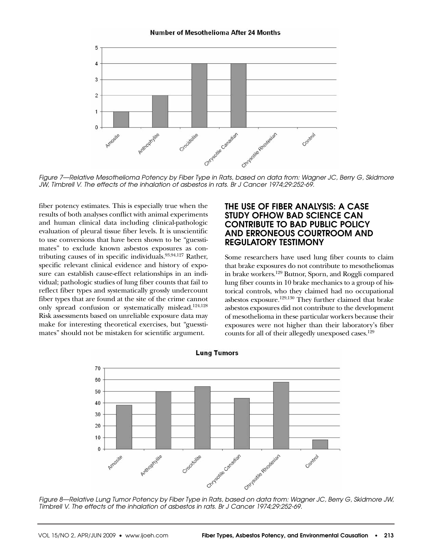

Figure 7—Relative Mesothelioma Potency by Fiber Type in Rats, based on data from: Wagner JC, Berry G, Skidmore JW, Timbrell V. The effects of the inhalation of asbestos in rats. Br J Cancer 1974;29:252-69.

fiber potency estimates. This is especially true when the results of both analyses conflict with animal experiments and human clinical data including clinical-pathologic evaluation of pleural tissue fiber levels. It is unscientific to use conversions that have been shown to be "guesstimates" to exclude known asbestos exposures as contributing causes of in specific individuals.93,94,127 Rather, specific relevant clinical evidence and history of exposure can establish cause-effect relationships in an individual; pathologic studies of lung fiber counts that fail to reflect fiber types and systematically grossly undercount fiber types that are found at the site of the crime cannot only spread confusion or systematically mislead.124,128 Risk assessments based on unreliable exposure data may make for interesting theoretical exercises, but "guesstimates" should not be mistaken for scientific argument.

## **THE USE OF FIBER ANALYSIS: A CASE STUDY OFHOW BAD SCIENCE CAN CONTRIBUTE TO BAD PUBLIC POLICY AND ERRONEOUS COURTROOM AND REGULATORY TESTIMONY**

Some researchers have used lung fiber counts to claim that brake exposures do not contribute to mesotheliomas in brake workers.129 Butnor, Sporn, and Roggli compared lung fiber counts in 10 brake mechanics to a group of historical controls, who they claimed had no occupational asbestos exposure.129,130 They further claimed that brake asbestos exposures did not contribute to the development of mesothelioma in these particular workers because their exposures were not higher than their laboratory's fiber counts for all of their allegedly unexposed cases.<sup>129</sup>



**Lung Tumors** 

Figure 8—Relative Lung Tumor Potency by Fiber Type in Rats, based on data from: Wagner JC, Berry G, Skidmore JW, Timbrell V. The effects of the inhalation of asbestos in rats. Br J Cancer 1974;29:252-69.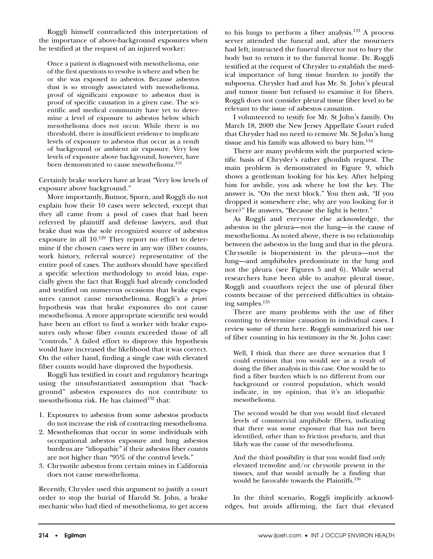Roggli himself contradicted this interpretation of the importance of above-background exposures when he testified at the request of an injured worker:

Once a patient is diagnosed with mesothelioma, one of the first questions to resolve is where and when he or she was exposed to asbestos. Because asbestos dust is so strongly associated with mesothelioma, proof of significant exposure to asbestos dust is proof of specific causation in a given case. The scientific and medical community have yet to determine a level of exposure to asbestos below which mesothelioma does not occur. While there is no threshold, there is insufficient evidence to implicate levels of exposure to asbestos that occur as a result of background or ambient air exposure. Very low levels of exposure above background, however, have been demonstrated to cause mesothelioma.<sup>131</sup>

Certainly brake workers have at least "Very low levels of exposure above background."

More importantly, Butnor, Sporn, and Roggli do not explain how their 10 cases were selected, except that they all came from a pool of cases that had been referred by plaintiff and defense lawyers, and that brake dust was the sole recognized source of asbestos exposure in all 10.129 They report no effort to determine if the chosen cases were in any way (fiber counts, work history, referral source) representative of the entire pool of cases. The authors should have specified a specific selection methodology to avoid bias, especially given the fact that Roggli had already concluded and testified on numerous occasions that brake exposures cannot cause mesothelioma. Roggli's *a priori* hypothesis was that brake exposures do not cause mesothelioma. A more appropriate scientific test would have been an effort to find a worker with brake exposures only whose fiber counts exceeded those of all "controls." A failed effort to disprove this hypothesis would have increased the likelihood that it was correct. On the other hand, finding a single case with elevated fiber counts would have disproved the hypothesis.

Roggli has testified in court and regulatory hearings using the unsubstantiated assumption that "background" asbestos exposures do not contribute to mesothelioma risk. He has claimed<sup>132</sup> that:

- 1. Exposures to asbestos from some asbestos products do not increase the risk of contracting mesothelioma.
- 2. Mesotheliomas that occur in some individuals with occupational asbestos exposure and lung asbestos burdens are "idiopathic" if their asbestos fiber counts are not higher than "95% of the control levels."
- 3. Chrysotile asbestos from certain mines in California does not cause mesothelioma.

Recently, Chrysler used this argument to justify a court order to stop the burial of Harold St. John, a brake mechanic who had died of mesothelioma, to get access

to his lungs to perform a fiber analysis.133 A process server attended the funeral and, after the mourners had left, instructed the funeral director not to bury the body but to return it to the funeral home. Dr. Roggli testified at the request of Chrysler to establish the medical importance of lung tissue burden to justify the subpoena. Chrysler had and has Mr. St. John's pleural and tumor tissue but refused to examine it for fibers. Roggli does not consider pleural tissue fiber level to be relevant to the issue of asbestos causation.

I volunteered to testify for Mr. St John's family. On March 18, 2009 the New Jersey Appellate Court ruled that Chrysler had no need to remove Mr. St John's lung tissue and his family was allowed to bury him.134

There are many problems with the purported scientific basis of Chrysler's rather ghoulish request. The main problem is demonstrated in Figure 9, which shows a gentleman looking for his key. After helping him for awhile, you ask where he lost the key. The answer is, "On the next block." You then ask, "If you dropped it somewhere else, why are you looking for it here?" He answers, "Because the light is better."

As Roggli and everyone else acknowledge, the asbestos in the pleura—not the lung—is the cause of mesothelioma. As noted above, there is no relationship between the asbestos in the lung and that in the pleura. Chrysotile is biopersistent in the pleura—not the lung—and amphiboles predominate in the lung and not the pleura (see Figures 5 and 6). While several researchers have been able to analyze pleural tissue, Roggli and coauthors reject the use of pleural fiber counts because of the perceived difficulties in obtaining samples.135

There are many problems with the use of fiber counting to determine causation in individual cases. I review some of them here. Roggli summarized his use of fiber counting in his testimony in the St. John case:

Well, I think that there are three scenarios that I could envision that you would see as a result of doing the fiber analysis in this case. One would be to find a fiber burden which is no different from our background or control population, which would indicate, in my opinion, that it's an idiopathic mesothelioma.

The second would be that you would find elevated levels of commercial amphibole fibers, indicating that there was some exposure that has not been identified, other than to friction products, and that likely was the cause of the mesothelioma.

And the third possibility is that you would find only elevated tremolite and/or chrysotile present in the tissues, and that would actually be a finding that would be favorable towards the Plaintiffs.<sup>136</sup>

In the third scenario, Roggli implicitly acknowledges, but avoids affirming, the fact that elevated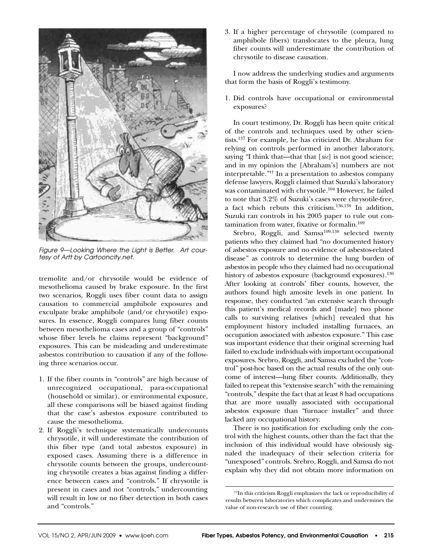

Figure 9—Looking Where the Light is Better. Art courtesy of Artt by Cartooncity.net.

tremolite and/or chrysotile would be evidence of mesothelioma caused by brake exposure. In the first two scenarios, Roggli uses fiber count data to assign causation to commercial amphibole exposures and exculpate brake amphibole (and/or chrysotile) exposures. In essence, Roggli compares lung fiber counts between mesothelioma cases and a group of "controls" whose fiber levels he claims represent "background" exposures. This can be misleading and underestimate asbestos contribution to causation if any of the following three scenarios occur.

- 1. If the fiber counts in "controls" are high because of unrecognized occupational, para-occupational (household or similar), or environmental exposure, all these comparisons will be biased against finding that the case's asbestos exposure contributed to cause the mesothelioma.
- 2. If Roggli's technique systematically undercounts chrysotile, it will underestimate the contribution of this fiber type (and total asbestos exposure) in exposed cases. Assuming there is a difference in chrysotile counts between the groups, undercounting chrysotile creates a bias against finding a difference between cases and "controls." If chrysotile is present in cases and not "controls," undercounting will result in low or no fiber detection in both cases and "controls."

3. If a higher percentage of chrysotile (compared to amphibole fibers) translocates to the pleura, lung fiber counts will underestimate the contribution of chrysotile to disease causation.

I now address the underlying studies and arguments that form the basis of Roggli's testimony.

1. Did controls have occupational or environmental exposures?

In court testimony, Dr. Roggli has been quite critical of the controls and techniques used by other scientists.137 For example, he has criticized Dr. Abraham for relying on controls performed in another laboratory, saying "I think that—that that [*sic*] is not good science; and in my opinion the [Abraham's] numbers are not interpretable."†† In a presentation to asbestos company defense lawyers, Roggli claimed that Suzuki's laboratory was contaminated with chrysotile.<sup>104</sup> However, he failed to note that 3.2% of Suzuki's cases were chrysotile-free, a fact which rebuts this criticism.136,138 In addition, Suzuki ran controls in his 2005 paper to rule out contamination from water, fixative or formalin.109

Srebro, Roggli, and Samsa<sup>109,138</sup> selected twenty patients who they claimed had "no documented history of asbestos exposure and no evidence of asbestos-related disease" as controls to determine the lung burden of asbestos in people who they claimed had no occupational history of asbestos exposure (background exposures).<sup>130</sup> After looking at controls' fiber counts, however, the authors found high amosite levels in one patient. In response, they conducted "an extensive search through this patient's medical records and [made] two phone calls to surviving relatives [which] revealed that his employment history included installing furnaces, an occupation associated with asbestos exposure." This case was important evidence that their original screening had failed to exclude individuals with important occupational exposures. Srebro, Roggli, and Samsa excluded the "control" post-hoc based on the actual results of the only outcome of interest—lung fiber counts. Additionally, they failed to repeat this "extensive search" with the remaining "controls," despite the fact that at least 8 had occupations that are more usually associated with occupational asbestos exposure than "furnace installer" and three lacked any occupational history.

There is no justification for excluding only the control with the highest counts, other than the fact that the inclusion of this individual would have obviously signaled the inadequacy of their selection criteria for "unexposed" controls. Srebro, Roggli, and Samsa do not explain why they did not obtain more information on

<sup>††</sup>In this criticism Roggli emphasizes the lack or reproducibility of results between laboratories which complicates and undermines the value of non-research use of fiber counting.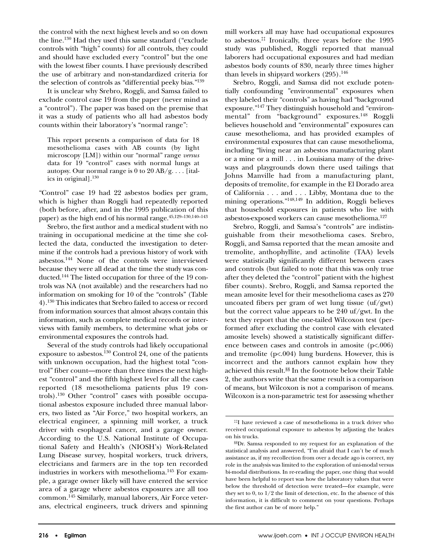the control with the next highest levels and so on down the line.130 Had they used this same standard ("exclude controls with "high" counts) for all controls, they could and should have excluded every "control" but the one with the lowest fiber counts. I have previously described the use of arbitrary and non-standardized criteria for the selection of controls as "differential peeky bias."139

It is unclear why Srebro, Roggli, and Samsa failed to exclude control case 19 from the paper (never mind as a "control"). The paper was based on the premise that it was a study of patients who all had asbestos body counts within their laboratory's "normal range":

This report presents a comparison of data for 18 mesothelioma cases with AB counts (by light microscopy [LM]) within our "normal" range *versus* data for 19 "control" cases with normal lungs at autopsy. Our normal range is 0 to 20 AB/g. . . . [italics in original].130

"Control" case 19 had 22 asbestos bodies per gram, which is higher than Roggli had repeatedly reported (both before, after, and in the 1995 publication of this paper) as the high end of his normal range.45,129–130,140–143

Srebro, the first author and a medical student with no training in occupational medicine at the time she collected the data, conducted the investigation to determine if the controls had a previous history of work with asbestos.144 None of the controls were interviewed because they were all dead at the time the study was conducted.144 The listed occupation for three of the 19 controls was NA (not available) and the researchers had no information on smoking for 10 of the "controls" (Table 4).130 This indicates that Srebro failed to access or record from information sources that almost always contain this information, such as complete medical records or interviews with family members, to determine what jobs or environmental exposures the controls had.

Several of the study controls had likely occupational exposure to asbestos.<sup>130</sup> Control 24, one of the patients with unknown occupation, had the highest total "control" fiber count—more than three times the next highest "control" and the fifth highest level for all the cases reported (18 mesothelioma patients plus 19 controls).130 Other "control" cases with possible occupational asbestos exposure included three manual laborers, two listed as "Air Force," two hospital workers, an electrical engineer, a spinning mill worker, a truck driver with esophageal cancer, and a garage owner. According to the U.S. National Institute of Occupational Safety and Health's (NIOSH's) Work-Related Lung Disease survey, hospital workers, truck drivers, electricians and farmers are in the top ten recorded industries in workers with mesothelioma.145 For example, a garage owner likely will have entered the service area of a garage where asbestos exposures are all too common.145 Similarly, manual laborers, Air Force veterans, electrical engineers, truck drivers and spinning mill workers all may have had occupational exposures to asbestos.‡‡ Ironically, three years before the 1995 study was published, Roggli reported that manual laborers had occupational exposures and had median asbestos body counts of 830, nearly three times higher than levels in shipyard workers  $(295)$ .<sup>146</sup>

Srebro, Roggli, and Samsa did not exclude potentially confounding "environmental" exposures when they labeled their "controls" as having had "background exposure."147 They distinguish household and "environmental" from "background" exposures.<sup>148</sup> Roggli believes household and "environmental" exposures can cause mesothelioma, and has provided examples of environmental exposures that can cause mesothelioma, including "living near an asbestos manufacturing plant or a mine or a mill . . . in Louisiana many of the driveways and playgrounds down there used tailings that Johns Manville had from a manufacturing plant, deposits of tremolite, for example in the El Dorado area of California . . . and . . . Libby, Montana due to the mining operations."148,149 In addition, Roggli believes that household exposures in patients who live with asbestos-exposed workers can cause mesothelioma.127

Srebro, Roggli, and Samsa's "controls" are indistinguishable from their mesothelioma cases. Srebro, Roggli, and Samsa reported that the mean amosite and tremolite, anthophyllite, and actinolite (TAA) levels were statistically significantly different between cases and controls (but failed to note that this was only true after they deleted the "control" patient with the highest fiber counts). Srebro, Roggli, and Samsa reported the mean amosite level for their mesothelioma cases as 270 uncoated fibers per gram of wet lung tissue (uf/gwt) but the correct value appears to be 240 uf/gwt. In the text they report that the one-tailed Wilcoxon test (performed after excluding the control case with elevated amosite levels) showed a statistically significant difference between cases and controls in amosite (p<.006) and tremolite  $(p<.004)$  lung burdens. However, this is incorrect and the authors cannot explain how they achieved this result.§§ In the footnote below their Table 2, the authors write that the same result is a comparison of means, but Wilcoxon is not a comparison of means. Wilcoxon is a non-parametric test for assessing whether

<sup>‡‡</sup>I have reviewed a case of mesothelioma in a truck driver who received occupational exposure to asbestos by adjusting the brakes on his trucks.

<sup>§§</sup>Dr. Samsa responded to my request for an explanation of the statistical analysis and answered, "I'm afraid that I can't be of much assistance as, if my recollection from over a decade ago is correct, my role in the analysis was limited to the exploration of uni-modal versus bi-modal distributions. In re-reading the paper, one thing that would have been helpful to report was how the laboratory values that were below the threshold of detection were treated—for example, were they set to 0, to 1/2 the limit of detection, etc. In the absence of this information, it is difficult to comment on your questions. Perhaps the first author can be of more help."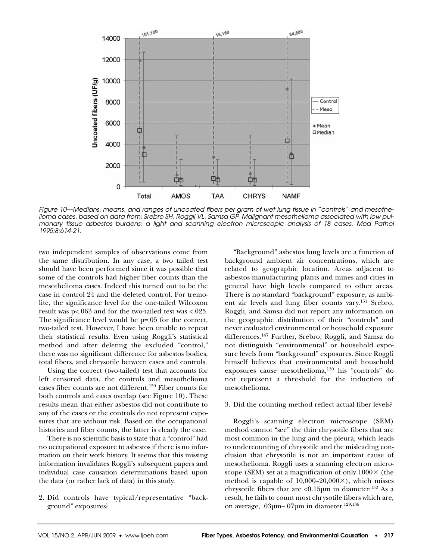

Figure 10—Medians, means, and ranges of uncoated fibers per gram of wet lung tissue in "controls" and mesothelioma cases, based on data from: Srebro SH, Roggli VL, Samsa GP. Malignant mesothelioma associated with low pulmonary tissue asbestos burdens: a light and scanning electron microscopic analysis of 18 cases. Mod Pathol 1995;8:614-21.

two independent samples of observations come from the same distribution. In any case, a two tailed test should have been performed since it was possible that some of the controls had higher fiber counts than the mesothelioma cases. Indeed this turned out to be the case in control 24 and the deleted control. For tremolite, the significance level for the one-tailed Wilcoxon result was p<.063 and for the two-tailed test was <.025. The significance level would be p=.05 for the correct, two-tailed test. However, I have been unable to repeat their statistical results. Even using Roggli's statistical method and after deleting the excluded "control," there was no significant difference for asbestos bodies, total fibers, and chrysotile between cases and controls.

Using the correct (two-tailed) test that accounts for left censored data, the controls and mesothelioma cases fiber counts are not different.150 Fiber counts for both controls and cases overlap (see Figure 10). These results mean that either asbestos did not contribute to any of the cases or the controls do not represent exposures that are without risk. Based on the occupational histories and fiber counts, the latter is clearly the case.

There is no scientific basis to state that a "control" had no occupational exposure to asbestos if there is no information on their work history. It seems that this missing information invalidates Roggli's subsequent papers and individual case causation determinations based upon the data (or rather lack of data) in this study.

2. Did controls have typical/representative "background" exposures?

"Background" asbestos lung levels are a function of background ambient air concentrations, which are related to geographic location. Areas adjacent to asbestos manufacturing plants and mines and cities in general have high levels compared to other areas. There is no standard "background" exposure, as ambient air levels and lung fiber counts vary.151 Srebro, Roggli, and Samsa did not report any information on the geographic distribution of their "controls" and never evaluated environmental or household exposure differences.147 Further, Srebro, Roggli, and Samsa do not distinguish "environmental" or household exposure levels from "background" exposures. Since Roggli himself believes that environmental and household exposures cause mesothelioma,130 his "controls" do not represent a threshold for the induction of mesothelioma.

#### 3. Did the counting method reflect actual fiber levels?

Roggli's scanning electron microscope (SEM) method cannot "see" the thin chrysotile fibers that are most common in the lung and the pleura, which leads to undercounting of chrysotile and the misleading conclusion that chrysotile is not an important cause of mesothelioma. Roggli uses a scanning electron microscope (SEM) set at a magnification of only  $1000\times$  (the method is capable of 10,000-20,000×), which misses chrysotile fibers that are <0.15 $\mu$ m in diameter.<sup>152</sup> As a result, he fails to count most chrysotile fibers which are, on average, .03μm–.07μm in diameter.129,136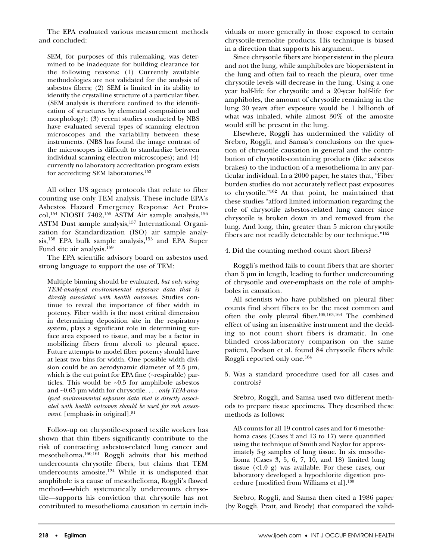The EPA evaluated various measurement methods and concluded:

SEM, for purposes of this rulemaking, was determined to be inadequate for building clearance for the following reasons: (1) Currently available methodologies are not validated for the analysis of asbestos fibers; (2) SEM is limited in its ability to identify the crystalline structure of a particular fiber. (SEM analysis is therefore confined to the identification of structures by elemental composition and morphology); (3) recent studies conducted by NBS have evaluated several types of scanning electron microscopes and the variability between these instruments. (NBS has found the image contrast of the microscopes is difficult to standardize between individual scanning electron microscopes); and (4) currently no laboratory accreditation program exists for accrediting SEM laboratories.<sup>153</sup>

All other US agency protocols that relate to fiber counting use only TEM analysis. These include EPA's Asbestos Hazard Emergency Response Act Proto $col<sup>154</sup> NIOSH 7402<sup>155</sup> ASTM Air sample analysis<sup>156</sup>$ ASTM Dust sample analysis,<sup>157</sup> International Organization for Standardization (ISO) air sample analysis,158 EPA bulk sample analysis,153 and EPA Super Fund site air analysis.<sup>159</sup>

The EPA scientific advisory board on asbestos used strong language to support the use of TEM:

Multiple binning should be evaluated, *but only using TEM-analyzed environmental exposure data that is directly associated with health outcomes*. Studies continue to reveal the importance of fiber width in potency. Fiber width is the most critical dimension in determining deposition site in the respiratory system, plays a significant role in determining surface area exposed to tissue, and may be a factor in mobilizing fibers from alveoli to pleural space. Future attempts to model fiber potency should have at least two bins for width. One possible width division could be an aerodynamic diameter of 2.5 μm, which is the cut point for EPA fine (~respirable) particles. This would be  $\sim 0.5$  for amphibole asbestos and ~0.65 μm width for chrysotile. . . . *only TEM-analyzed environmental exposure data that is directly associated with health outcomes should be used for risk assessment*. [emphasis in original].<sup>91</sup>

Follow-up on chrysotile-exposed textile workers has shown that thin fibers significantly contribute to the risk of contracting asbestos-related lung cancer and mesothelioma.160,161 Roggli admits that his method undercounts chrysotile fibers, but claims that TEM undercounts amosite. $124$  While it is undisputed that amphibole is a cause of mesothelioma, Roggli's flawed method—which systematically undercounts chrysotile—supports his conviction that chrysotile has not contributed to mesothelioma causation in certain individuals or more generally in those exposed to certain chrysotile-tremolite products. His technique is biased in a direction that supports his argument.

Since chrysotile fibers are biopersistent in the pleura and not the lung, while amphiboles are biopersistent in the lung and often fail to reach the pleura, over time chrysotile levels will decrease in the lung. Using a one year half-life for chrysotile and a 20-year half-life for amphiboles, the amount of chrysotile remaining in the lung 30 years after exposure would be 1 billionth of what was inhaled, while almost 30% of the amosite would still be present in the lung.

Elsewhere, Roggli has undermined the validity of Srebro, Roggli, and Samsa's conclusions on the question of chrysotile causation in general and the contribution of chrysotile-containing products (like asbestos brakes) to the induction of a mesothelioma in any particular individual. In a 2000 paper, he states that, "Fiber burden studies do not accurately reflect past exposures to chrysotile."162 At that point, he maintained that these studies "afford limited information regarding the role of chrysotile asbestos-related lung cancer since chrysotile is broken down in and removed from the lung. And long, thin, greater than 5 micron chrysotile fibers are not readily detectable by our technique."<sup>162</sup>

4. Did the counting method count short fibers?

Roggli's method fails to count fibers that are shorter than 5 μm in length, leading to further undercounting of chrysotile and over-emphasis on the role of amphiboles in causation.

All scientists who have published on pleural fiber counts find short fibers to be the most common and often the only pleural fiber.105,163,164 The combined effect of using an insensitive instrument and the deciding to not count short fibers is dramatic. In one blinded cross-laboratory comparison on the same patient, Dodson et al. found 84 chrysotile fibers while Roggli reported only one.164

5. Was a standard procedure used for all cases and controls?

Srebro, Roggli, and Samsa used two different methods to prepare tissue specimens. They described these methods as follows:

AB counts for all 19 control cases and for 6 mesothelioma cases (Cases 2 and 13 to 17) were quantified using the technique of Smith and Naylor for approximately 5-g samples of lung tissue. In six mesothelioma (Cases 3, 5, 6, 7, 10, and 18) limited lung tissue (<1.0 g) was available. For these cases, our laboratory developed a hypochlorite digestion procedure [modified from Williams et al].<sup>130</sup>

Srebro, Roggli, and Samsa then cited a 1986 paper (by Roggli, Pratt, and Brody) that compared the valid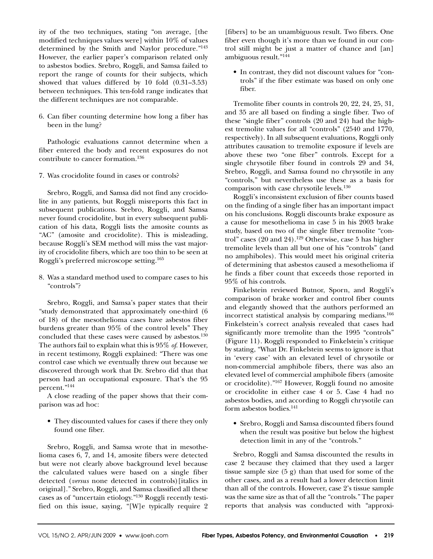ity of the two techniques, stating "on average, [the modified techniques values were] within 10% of values determined by the Smith and Naylor procedure."143 However, the earlier paper's comparison related only to asbestos bodies. Srebro, Roggli, and Samsa failed to report the range of counts for their subjects, which showed that values differed by 10 fold (0.31–3.53) between techniques. This ten-fold range indicates that the different techniques are not comparable.

6. Can fiber counting determine how long a fiber has been in the lung?

Pathologic evaluations cannot determine when a fiber entered the body and recent exposures do not contribute to cancer formation.136

7. Was crocidolite found in cases or controls?

Srebro, Roggli, and Samsa did not find any crocidolite in any patients, but Roggli misreports this fact in subsequent publications. Srebro, Roggli, and Samsa never found crocidolite, but in every subsequent publication of his data, Roggli lists the amosite counts as "AC" (amosite and crocidolite). This is misleading, because Roggli's SEM method will miss the vast majority of crocidolite fibers, which are too thin to be seen at Roggli's preferred microscope setting.165

8. Was a standard method used to compare cases to his "controls"?

Srebro, Roggli, and Samsa's paper states that their "study demonstrated that approximately one-third (6 of 18) of the mesothelioma cases have asbestos fiber burdens greater than 95% of the control levels" They concluded that these cases were caused by asbestos.<sup>130</sup> The authors fail to explain what this is 95% *of*. However, in recent testimony, Roggli explained: "There was one control case which we eventually threw out because we discovered through work that Dr. Srebro did that that person had an occupational exposure. That's the 95 percent."144

A close reading of the paper shows that their comparison was ad hoc:

• They discounted values for cases if there they only found one fiber.

Srebro, Roggli, and Samsa wrote that in mesothelioma cases 6, 7, and 14, amosite fibers were detected but were not clearly above background level because the calculated values were based on a single fiber detected (*versus* none detected in controls)[italics in original]." Srebro, Roggli, and Samsa classified all these cases as of "uncertain etiology."130 Roggli recently testified on this issue, saying, "[W]e typically require 2

[fibers] to be an unambiguous result. Two fibers. One fiber even though it's more than we found in our control still might be just a matter of chance and [an] ambiguous result."144

• In contrast, they did not discount values for "controls" if the fiber estimate was based on only one fiber.

Tremolite fiber counts in controls 20, 22, 24, 25, 31, and 35 are all based on finding a single fiber. Two of these "single fiber" controls (20 and 24) had the highest tremolite values for all "controls" (2540 and 1770, respectively). In all subsequent evaluations, Roggli only attributes causation to tremolite exposure if levels are above these two "one fiber" controls. Except for a single chrysotile fiber found in controls 29 and 34, Srebro, Roggli, and Samsa found no chrysotile in any "controls," but nevertheless use these as a basis for comparison with case chrysotile levels.<sup>130</sup>

Roggli's inconsistent exclusion of fiber counts based on the finding of a single fiber has an important impact on his conclusions. Roggli discounts brake exposure as a cause for mesothelioma in case 5 in his 2003 brake study, based on two of the single fiber tremolite "control" cases  $(20 \text{ and } 24)$ .<sup>129</sup> Otherwise, case 5 has higher tremolite levels than all but one of his "controls" (and no amphiboles). This would meet his original criteria of determining that asbestos caused a mesothelioma if he finds a fiber count that exceeds those reported in 95% of his controls.

Finkelstein reviewed Butnor, Sporn, and Roggli's comparison of brake worker and control fiber counts and elegantly showed that the authors performed an incorrect statistical analysis by comparing medians.<sup>166</sup> Finkelstein's correct analysis revealed that cases had significantly more tremolite than the 1995 "controls" (Figure 11). Roggli responded to Finkelstein's critique by stating, "What Dr. Finkelstein seems to ignore is that in 'every case' with an elevated level of chrysotile or non-commercial amphibole fibers, there was also an elevated level of commercial amphibole fibers (amosite or crocidolite)."167 However, Roggli found no amosite or crocidolite in either case 4 or 5. Case 4 had no asbestos bodies, and according to Roggli chrysotile can form asbestos bodies.<sup>141</sup>

• Srebro, Roggli and Samsa discounted fibers found when the result was positive but below the highest detection limit in any of the "controls."

Srebro, Roggli and Samsa discounted the results in case 2 because they claimed that they used a larger tissue sample size  $(5 g)$  than that used for some of the other cases, and as a result had a lower detection limit than all of the controls. However, case 2's tissue sample was the same size as that of all the "controls." The paper reports that analysis was conducted with "approxi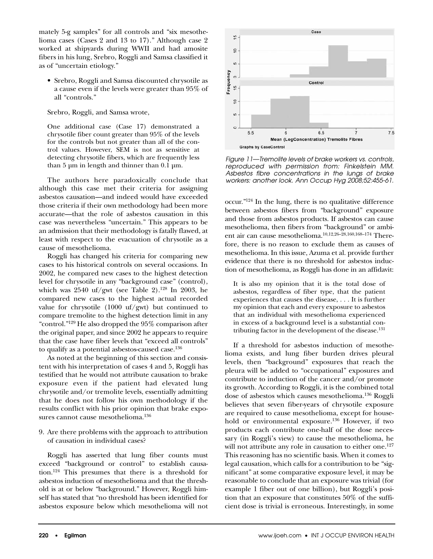mately 5-g samples" for all controls and "six mesothelioma cases (Cases 2 and 13 to 17)." Although case 2 worked at shipyards during WWII and had amosite fibers in his lung, Srebro, Roggli and Samsa classified it as of "uncertain etiology."

• Srebro, Roggli and Samsa discounted chrysotile as a cause even if the levels were greater than 95% of all "controls."

Srebro, Roggli, and Samsa wrote,

One additional case (Case 17) demonstrated a chrysotile fiber count greater than 95% of the levels for the controls but not greater than all of the control values. However, SEM is not as sensitive at detecting chrysotile fibers, which are frequently less than 5 μm in length and thinner than 0.1 μm.

The authors here paradoxically conclude that although this case met their criteria for assigning asbestos causation—and indeed would have exceeded those criteria if their own methodology had been more accurate—that the role of asbestos causation in this case was nevertheless "uncertain." This appears to be an admission that their methodology is fatally flawed, at least with respect to the evacuation of chrysotile as a cause of mesothelioma.

Roggli has changed his criteria for comparing new cases to his historical controls on several occasions. In 2002, he compared new cases to the highest detection level for chrysotile in any "background case" (control), which was  $2540$  uf/gwt (see Table 2).<sup>128</sup> In 2003, he compared new cases to the highest actual recorded value for chrysotile (1000 uf/gwt) but continued to compare tremolite to the highest detection limit in any "control."129 He also dropped the 95% comparison after the original paper, and since 2002 he appears to require that the case have fiber levels that "exceed all controls" to qualify as a potential asbestos-caused case.<sup>136</sup>

As noted at the beginning of this section and consistent with his interpretation of cases 4 and 5, Roggli has testified that he would not attribute causation to brake exposure even if the patient had elevated lung chrysotile and/or tremolite levels, essentially admitting that he does not follow his own methodology if the results conflict with his prior opinion that brake exposures cannot cause mesothelioma.<sup>136</sup>

9. Are there problems with the approach to attribution of causation in individual cases?

Roggli has asserted that lung fiber counts must exceed "background or control" to establish causation.124 This presumes that there is a threshold for asbestos induction of mesothelioma and that the threshold is at or below "background." However, Roggli himself has stated that "no threshold has been identified for asbestos exposure below which mesothelioma will not



Figure 11—Tremolite levels of brake workers vs. controls, reproduced with permission from: Finkelstein MM. Asbestos fibre concentrations in the lungs of brake workers: another look. Ann Occup Hyg 2008;52:455-61.

occur."124 In the lung, there is no qualitative difference between asbestos fibers from "background" exposure and those from asbestos products. If asbestos can cause mesothelioma, then fibers from "background" or ambient air can cause mesothelioma.10,12,26–28,160,168–174 Therefore, there is no reason to exclude them as causes of mesothelioma. In this issue, Azuma et al. provide further evidence that there is no threshold for asbestos induction of mesothelioma, as Roggli has done in an affidavit:

It is also my opinion that it is the total dose of asbestos, regardless of fiber type, that the patient experiences that causes the disease, . . . It is further my opinion that each and every exposure to asbestos that an individual with mesothelioma experienced in excess of a background level is a substantial contributing factor in the development of the disease.<sup>131</sup>

If a threshold for asbestos induction of mesothelioma exists, and lung fiber burden drives pleural levels, then "background" exposures that reach the pleura will be added to "occupational" exposures and contribute to induction of the cancer and/or promote its growth. According to Roggli, it is the combined total dose of asbestos which causes mesothelioma.136 Roggli believes that seven fiber-years of chrysotile exposure are required to cause mesothelioma, except for household or environmental exposure.<sup>136</sup> However, if two products each contribute one-half of the dose necessary (in Roggli's view) to cause the mesothelioma, he will not attribute any role in causation to either one.<sup>127</sup> This reasoning has no scientific basis. When it comes to legal causation, which calls for a contribution to be "significant" at some comparative exposure level, it may be reasonable to conclude that an exposure was trivial (for example 1 fiber out of one billion), but Roggli's position that an exposure that constitutes 50% of the sufficient dose is trivial is erroneous. Interestingly, in some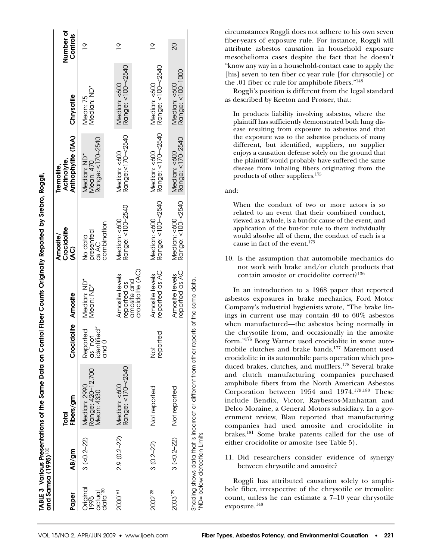|                                                                 | and Samsa (1995) <sup>130</sup> | TABLE 3 Various Presentations of the Same Data on Control Fiber Counts Originally Reported by Srebro, Roggli, |                                               |                                                                  |                                              |                                                 |                                   |                       |
|-----------------------------------------------------------------|---------------------------------|---------------------------------------------------------------------------------------------------------------|-----------------------------------------------|------------------------------------------------------------------|----------------------------------------------|-------------------------------------------------|-----------------------------------|-----------------------|
| Paper                                                           | AB/gm                           | Fibers/gm<br><b>Total</b>                                                                                     | Crocidolite Amosite                           |                                                                  | Crocidolite<br>Amosite/<br>Q<br>S            | Anthophylite (TAA)<br>Actinolyte,<br>Tremolite. | Chrysotile                        | Number of<br>Controls |
| Original<br>$data$ <sup><math>30</math></sup><br>actual<br>1995 | $3(-0.2-22)$                    | Range: 420-12,700<br>Median: 2990<br>Mean: 4330                                                               | Reported<br>as "not<br>identified"<br>a<br>Sa | Median: ND*<br>Mean: ND*                                         | combination<br>presented<br>No data<br>as AC | Range: <170-2540<br>Median: ND*<br>Mean: 470    | Median: ND*<br>Mean: 75           | $\overline{0}$        |
| 2000161                                                         | 2.9 (0.2-22)                    | Range: <170-<2540<br>Median: <600                                                                             |                                               | crocidolite (AC)<br>Amosite levels<br>amosite and<br>reported as | Range: <100-2540<br>Median: <600             | Range:<170-<2540<br>Median: <600                | Range: <100-<2540<br>Median: <600 | $\overline{P}$        |
| 2002128                                                         | $3(0.2 - 22)$                   | Not reported                                                                                                  | reported<br>$\frac{1}{2}$                     | reported as AC<br>Amosite levels                                 | Range: <100-<2540<br>Median: <600            | Range: <170-<2540<br>Median: <600               | Range: <100-<2540<br>Median: <600 | $\overline{0}$        |
| 2003129                                                         | $3(-0.2-22)$                    | Not reported                                                                                                  |                                               | reported as AC<br>Amosite levels                                 | Range: <100-<2540<br>Median: <600            | Range: <170-2540<br>Median: <600                | Range: <100-1000<br>Median: <600  | 20                    |
|                                                                 | $^*$ ND= below detection Limits | Shading shows data that is incorrect or different from other reports of the same data.                        |                                               |                                                                  |                                              |                                                 |                                   |                       |

circumstances Roggli does not adhere to his own seven fiber-years of exposure rule. For instance, Roggli will attribute asbestos causation in household exposure mesothelioma cases despite the fact that he doesn't "know any way in a household-contact case to apply the [his] seven to ten fiber cc year rule [for chrysotile] or the .01 fiber cc rule for amphibole fibers."148

Roggli's position is different from the legal standard as described by Keeton and Prosser, that:

In products liability involving asbestos, where the plaintiff has sufficiently demonstrated both lung disease resulting from exposure to asbestos and that the exposure was to the asbestos products of many different, but identified, suppliers, no supplier enjoys a causation defense solely on the ground that the plaintiff would probably have suffered the same disease from inhaling fibers originating from the products of other suppliers.175

and:

When the conduct of two or more actors is so related to an event that their combined conduct, viewed as a whole, is a but-for cause of the event, and application of the but-for rule to them individually would absolve all of them, the conduct of each is a cause in fact of the event.175

10. Is the assumption that automobile mechanics do not work with brake and/or clutch products that contain amosite or crocidolite correct?136

In an introduction to a 1968 paper that reported asbestos exposures in brake mechanics, Ford Motor Company's industrial hygienists wrote, "The brake linings in current use may contain 40 to 60% asbestos when manufactured—the asbestos being normally in the chrysotile from, and occasionally in the amosite form."176 Borg Warner used crocidolite in some automobile clutches and brake bands.177 Maremont used crocidolite in its automobile parts operation which produced brakes, clutches, and mufflers.178 Several brake and clutch manufacturing companies purchased amphibole fibers from the North American Asbestos Corporation between 1954 and 1974.179,180 These include Bendix, Victor, Raybestos-Manhattan and Delco Moraine, a General Motors subsidiary. In a government review, Blau reported that manufacturing companies had used amosite and crocidolite in brakes.181 Some brake patents called for the use of either crocidolite or amosite (see Table 5).

11. Did researchers consider evidence of synergy between chrysotile and amosite?

Roggli has attributed causation solely to amphibole fiber, irrespective of the chrysotile or tremolite count, unless he can estimate a 7–10 year chrysotile exposure.148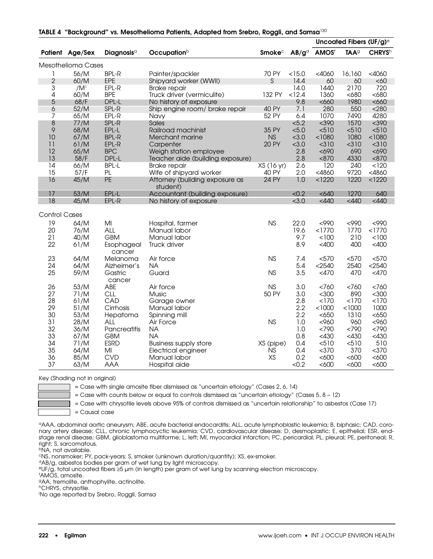|                      |                    |                              |                                            |                           |                   |                         | Uncoated Fibers (UF/g) <sup>e</sup> |               |  |
|----------------------|--------------------|------------------------------|--------------------------------------------|---------------------------|-------------------|-------------------------|-------------------------------------|---------------|--|
|                      | Patient Age/Sex    | <b>Diagnosis<sup>a</sup></b> | Occupation <sup>b</sup>                    | <b>Smoke</b> <sup>c</sup> | AB/g <sup>d</sup> | <b>AMOS<sup>f</sup></b> | <b>TAA</b> <sup>9</sup>             | <b>CHRYSh</b> |  |
|                      | Mesothelioma Cases |                              |                                            |                           |                   |                         |                                     |               |  |
| 1                    | 56/M               | <b>BPL-R</b>                 | Painter/spackler                           | 70 PY                     | < 15.0            | $<$ 4060                | 16,160                              | $<$ 4060      |  |
| $\sqrt{2}$           | 60/M               | EPE                          | Shipyard worker (WWII)                     | S                         | 14.4              | 60                      | 60                                  | $<$ 60        |  |
| 3                    | /M <sup>i</sup>    | EPL-R                        | <b>Brake repair</b>                        |                           | 14.0              | 1440                    | 2170                                | 720           |  |
| 4                    | 60/M               | <b>BPE</b>                   | Truck driver (vermiculite)                 | 132 PY                    | < 12.4            | 1360                    | <680                                | <680          |  |
| 5                    | 68/F               | DPL-L                        | No history of exposure                     |                           | 9.8               | <660                    | 1980                                | <660          |  |
| $\overline{6}$       | 52/M               | SPL-R                        | Ship engine room/ brake repair             | 40 PY                     | 7.1               | 280                     | 550                                 | $<$ 280       |  |
| 7                    | 65/M               | EPL-R                        | Navy                                       | 52 PY                     | 6.4               | 1070                    | 7490                                | 4280          |  |
| 8                    | 77/M               | SPL-R                        | Sales                                      |                           | < 5.2             | $<$ 390                 | 1570                                | $<$ 390       |  |
| 9                    | 68/M               | EPL-L                        | Railroad machinist                         | 35 PY                     | < 5.0             | < 510                   | < 510                               | < 510         |  |
| 10                   | 67/M               | <b>BPL-R</b>                 | Merchant marine                            | <b>NS</b>                 | < 3.0             | < 1080                  | 1080                                | $<$ 1080      |  |
| 11                   | 61/M               | EPL-R                        | Carpenter                                  | <b>20 PY</b>              | < 3.0             | $<$ 310                 | $<$ 310                             | $<$ 310       |  |
| 12                   | 65/M               | <b>BPC</b>                   | Weigh station employee                     |                           | 2.8               | <690                    | 690                                 | <690          |  |
| 13                   | 58/F               | DPL-L                        | Teacher aide (building exposure)           |                           | 2.8               | < 870                   | 4330                                | < 870         |  |
| 14                   | 66/M               | <b>BPL-L</b>                 | <b>Brake repair</b>                        | XS (16 yr)                | 2.6               | 120                     | 240                                 | < 120         |  |
| 15                   | 57/F               | PL                           | Wife of shipyard worker                    | 40 PY                     | 2.0               | $<$ 4860                | 9720                                | $<$ 4860      |  |
| 16                   | 45/M               | PE                           | Attorney (building exposure as<br>student) | <b>24 PY</b>              | 1.0               | < 1220                  | 1220                                | < 1220        |  |
| 17                   | 53/M               | EPL-L                        | Accountant (building exposure)             |                           | < 0.2             | < 640                   | 1270                                | 640           |  |
| 18                   | 45/M               | EPL-R                        | No history of exposure                     |                           | < 3.0             | $<$ 440                 | $<$ 440                             | $<$ 440       |  |
| <b>Control Cases</b> |                    |                              |                                            |                           |                   |                         |                                     |               |  |
| 19                   | 64/M               | MI                           | Hospital, farmer                           | <b>NS</b>                 | 22.0              | $<$ 990                 | $<$ 990                             | $<$ 990       |  |
| 20                   | 76/M               | ALL                          | Manual labor                               |                           | 19.6              | $<$ 1770                | 1770                                | $<$ 1770      |  |
| 21                   | 40/M               | <b>GBM</b>                   | Manual labor                               |                           | 9.7               | < 100                   | 210                                 | < 100         |  |
| 22                   | 61/M               | Esophageal<br>cancer         | Truck driver                               |                           | 8.9               | $<$ 400                 | 400                                 | $<$ 400       |  |
| 23                   | 64/M               | Melanoma                     | Air force                                  | <b>NS</b>                 | 7.4               | < 570                   | $570$                               | < 570         |  |
| 24                   | 64/M               | Alzheimer's                  | NA.                                        |                           | 5.4               | $<$ 2540                | 2540                                | $<$ 2540      |  |
| 25                   | 59/M               | Gastric<br>cancer            | Guard                                      | <b>NS</b>                 | 3.5               | $<$ 470                 | 470                                 | $<$ 470       |  |
| 26                   | 53/M               | ABE                          | Air force                                  | <b>NS</b>                 | 3.0               | <760                    | <760                                | <760          |  |
| 27                   | 71/M               | <b>CLL</b>                   | Music                                      | 50 PY                     | 3.0               | $300$                   | 890                                 | $<$ 300       |  |
| 28                   | 61/M               | CAD                          | Garage owner                               |                           | 2.8               | <170                    | <170                                | < 170         |  |
| 29                   | 51/M               | Cirrhosis                    | Manual labor                               |                           | 2.2               | < 1000                  | < 1000                              | 1000          |  |
| 30                   | 53/M               | Hepatoma                     | Spinning mill                              |                           | 2.2               | <650                    | 1310                                | $<$ 650       |  |
| 31                   | 28/M               | ALL                          | Air Force                                  | <b>NS</b>                 | 1.0               | $<$ 960                 | 960                                 | $<$ 960       |  |
| 32                   | 36/M               | Pancreatitis                 | NA.                                        |                           | 1.0               | <790                    | <790                                | <790          |  |
| 33                   | 67/M               | <b>GBM</b>                   | <b>NA</b>                                  |                           | 0.8               | $<$ 430                 | $<$ 430                             | $<$ 430       |  |
| 34                   | 71/M               | <b>ESRD</b>                  | <b>Business supply store</b>               | XS (pipe)                 | 0.4               | < 510                   | < 510                               | 510           |  |
| 35                   | 64/M               | MI                           | Electrical engineer                        | <b>NS</b>                 | 0.4               | $370$                   | 370                                 | $370$         |  |
| 36                   | 85/M               | <b>CVD</b>                   | Manual labor                               | XS                        | 0.2               | <600                    | <600                                | <600          |  |
| 37                   | 63/M               | <b>AAA</b>                   | Hospital aide                              |                           | < 0.2             | <600                    | <600                                | <600          |  |
|                      |                    |                              |                                            |                           |                   |                         |                                     |               |  |

Key (Shading not in original)

= Case with single amosite fiber dismissed as "uncertain etiology" (Cases 2, 6, 14)

= Case with counts below or equal to controls dismissed as "uncertain etiology" (Cases 5, 8 – 12)

= Case with chrysotile levels above 95% of controls dismissed as "uncertain relationship" to asbestos (Case 17)

= Causal case

aAAA, abdominal aortic aneurysm; ABE, acute bacterial endocarditis; ALL, acute lymphoblastic leukemia; B, biphasic; CAD, coronary artery disease; CLL, chronic lymphocyctic leukemia; CVD, cardiovascular disease; D, desmoplastic; E, epithelial; ESR, endstage renal disease; GBM, glioblastoma multiforme; L, left; MI, myocardial infarction; PC, pericardial; PL, pleural; PE, peritoneal; R, right; S, sarcomatous.

bNA, not available.

cNS, nonsmoker; PY, pack-years; S, smoker (unknown duration/quantity); XS, ex-smoker.

dAB/g, asbestos bodies per gram of wet lung by light microscopy.

eUF/g, total uncoated fibers ≥5 μm (in length) per gram of wet lung by scanning electron microscopy.

f AMOS, amosite.

gAA, tremolite, anthophylite, actinolite.

hCHRYS, chrysotile.

i No age reported by Srebro, Roggli, Samsa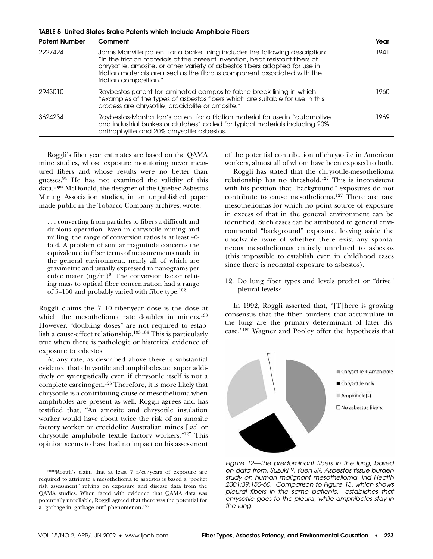| TABLE 5 United States Brake Patents which Include Amphibole Fibers |  |  |  |
|--------------------------------------------------------------------|--|--|--|
|                                                                    |  |  |  |

| <b>Patent Number</b> | Comment                                                                                                                                                                                                                                                                                                                                            | Year |
|----------------------|----------------------------------------------------------------------------------------------------------------------------------------------------------------------------------------------------------------------------------------------------------------------------------------------------------------------------------------------------|------|
| 2227424              | Johns Manville patent for a brake lining includes the following description:<br>"In the friction materials of the present invention, heat resistant fibers of<br>chrysotile, amosite, or other variety of asbestos fibers adapted for use in<br>friction materials are used as the fibrous component associated with the<br>friction composition." | 1941 |
| 2943010              | Raybestos patent for laminated composite fabric break lining in which<br>"examples of the types of asbestos fibers which are suitable for use in this<br>process are chrysotile, crocidolite or amosite."                                                                                                                                          | 1960 |
| 3624234              | Raybestos-Manhattan's patent for a friction material for use in "automotive"<br>and industrial brakes or clutches" called for typical materials including 20%<br>anthophylite and 20% chrysotile asbestos.                                                                                                                                         | 1969 |

Roggli's fiber year estimates are based on the QAMA mine studies, whose exposure monitoring never measured fibers and whose results were no better than guesses.94 He has not examined the validity of this data.\*\*\* McDonald, the designer of the Quebec Asbestos Mining Association studies, in an unpublished paper made public in the Tobacco Company archives, wrote:

. . . converting from particles to fibers a difficult and dubious operation. Even in chrysotile mining and milling, the range of conversion ratios is at least 40 fold. A problem of similar magnitude concerns the equivalence in fiber terms of measurements made in the general environment, nearly all of which are gravimetric and usually expressed in nanograms per cubic meter  $(ng/m)^3$ . The conversion factor relating mass to optical fiber concentration had a range of  $5-150$  and probably varied with fibre type.<sup>182</sup>

Roggli claims the 7–10 fiber-year dose is the dose at which the mesothelioma rate doubles in miners.<sup>133</sup> However, "doubling doses" are not required to establish a cause-effect relationship.183,184 This is particularly true when there is pathologic or historical evidence of exposure to asbestos.

At any rate, as described above there is substantial evidence that chrysotile and amphiboles act super additively or synergistically even if chrysotile itself is not a complete carcinogen.126 Therefore, it is more likely that chrysotile is a contributing cause of mesothelioma when amphiboles are present as well. Roggli agrees and has testified that, "An amosite and chrysotile insulation worker would have about twice the risk of an amosite factory worker or crocidolite Australian mines [*sic*] or chrysotile amphibole textile factory workers."127 This opinion seems to have had no impact on his assessment

of the potential contribution of chrysotile in American workers, almost all of whom have been exposed to both.

Roggli has stated that the chrysotile-mesothelioma relationship has no threshold.<sup>127</sup> This is inconsistent with his position that "background" exposures do not contribute to cause mesothelioma.<sup>127</sup> There are rare mesotheliomas for which no point source of exposure in excess of that in the general environment can be identified. Such cases can be attributed to general environmental "background" exposure, leaving aside the unsolvable issue of whether there exist any spontaneous mesotheliomas entirely unrelated to asbestos (this impossible to establish even in childhood cases since there is neonatal exposure to asbestos).

12. Do lung fiber types and levels predict or "drive" pleural levels?

In 1992, Roggli asserted that, "[T]here is growing consensus that the fiber burdens that accumulate in the lung are the primary determinant of later disease."185 Wagner and Pooley offer the hypothesis that



Figure 12—The predominant fibers in the lung, based on data from: Suzuki Y, Yuen SR. Asbestos tissue burden study on human malignant mesothelioma. Ind Health 2001;39:150-60. Comparison to Figure 13, which shows pleural fibers in the same patients, establishes that chrysotile goes to the pleura, while amphiboles stay in the lung.

<sup>\*\*\*</sup>Roggli's claim that at least 7 f/cc/years of exposure are required to attribute a mesothelioma to asbestos is based a "pocket risk assessment" relying on exposure and disease data from the QAMA studies. When faced with evidence that QAMA data was potentially unreliable, Roggli agreed that there was the potential for a "garbage-in, garbage out" phenomenon.135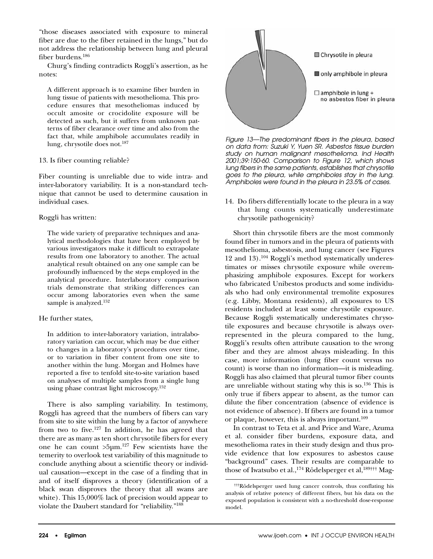"those diseases associated with exposure to mineral fiber are due to the fiber retained in the lungs," but do not address the relationship between lung and pleural fiber burdens.186

Churg's finding contradicts Roggli's assertion, as he notes:

A different approach is to examine fiber burden in lung tissue of patients with mesothelioma. This procedure ensures that mesotheliomas induced by occult amosite or crocidolite exposure will be detected as such, but it suffers from unknown patterns of fiber clearance over time and also from the fact that, while amphibole accumulates readily in lung, chrysotile does not.187

#### 13. Is fiber counting reliable?

Fiber counting is unreliable due to wide intra- and inter-laboratory variability. It is a non-standard technique that cannot be used to determine causation in individual cases.

#### Roggli has written:

The wide variety of preparative techniques and analytical methodologies that have been employed by various investigators make it difficult to extrapolate results from one laboratory to another. The actual analytical result obtained on any one sample can be profoundly influenced by the steps employed in the analytical procedure. Interlaboratory comparison trials demonstrate that striking differences can occur among laboratories even when the same sample is analyzed.<sup>152</sup>

#### He further states,

In addition to inter-laboratory variation, intralaboratory variation can occur, which may be due either to changes in a laboratory's procedures over time, or to variation in fiber content from one site to another within the lung. Morgan and Holmes have reported a five to tenfold site-to-site variation based on analyses of multiple samples from a single lung using phase contrast light microscopy.<sup>152</sup>

There is also sampling variability. In testimony, Roggli has agreed that the numbers of fibers can vary from site to site within the lung by a factor of anywhere from two to five.<sup>127</sup> In addition, he has agreed that there are as many as ten short chrysotile fibers for every one he can count >5μm.127 Few scientists have the temerity to overlook test variability of this magnitude to conclude anything about a scientific theory or individual causation—except in the case of a finding that in and of itself disproves a theory (identification of a black swan disproves the theory that all swans are white). This 15,000% lack of precision would appear to violate the Daubert standard for "reliability."188



Figure 13—The predominant fibers in the pleura, based on data from: Suzuki Y, Yuen SR. Asbestos tissue burden study on human malignant mesothelioma. Ind Health 2001;39:150-60. Comparison to Figure 12, which shows lung fibers in the same patients, establishes that chrysotile goes to the pleura, while amphiboles stay in the lung. Amphiboles were found in the pleura in 23.5% of cases.

14. Do fibers differentially locate to the pleura in a way that lung counts systematically underestimate chrysotile pathogenicity?

Short thin chrysotile fibers are the most commonly found fiber in tumors and in the pleura of patients with mesothelioma, asbestosis, and lung cancer (see Figures 12 and 13).104 Roggli's method systematically underestimates or misses chrysotile exposure while overemphasizing amphibole exposures. Except for workers who fabricated Unibestos products and some individuals who had only environmental tremolite exposures (e.g. Libby, Montana residents), all exposures to US residents included at least some chrysotile exposure. Because Roggli systematically underestimates chrysotile exposures and because chrysotile is always overrepresented in the pleura compared to the lung, Roggli's results often attribute causation to the wrong fiber and they are almost always misleading. In this case, more information (lung fiber count versus no count) is worse than no information—it is misleading. Roggli has also claimed that pleural tumor fiber counts are unreliable without stating why this is so. $136$  This is only true if fibers appear to absent, as the tumor can dilute the fiber concentration (absence of evidence is not evidence of absence). If fibers are found in a tumor or plaque, however, this is always important. $109$ 

In contrast to Teta et al. and Price and Ware, Azuma et al. consider fiber burdens, exposure data, and mesothelioma rates in their study design and thus provide evidence that low exposures to asbestos cause "background" cases. Their results are comparable to those of Iwatsubo et al.,<sup>174</sup> Rödelsperger et al,<sup>189†††</sup> Mag-

<sup>†††</sup>Rödelsperger used lung cancer controls, thus conflating his analysis of relative potency of different fibers, but his data on the exposed population is consistent with a no-threshold dose-response model.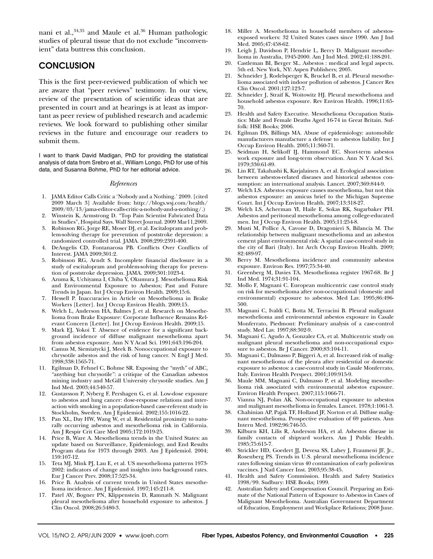nani et al., 34,35 and Maule et al. 36 Human pathologic studies of pleural tissue that do not exclude "inconvenient" data buttress this conclusion.

## **CONCLUSION**

This is the first peer-reviewed publication of which we are aware that "peer reviews" testimony. In our view, review of the presentation of scientific ideas that are presented in court and at hearings is at least as important as peer review of published research and academic reviews. We look forward to publishing other similar reviews in the future and encourage our readers to submit them.

I want to thank David Madigan, PhD for providing the statistical analysis of data from Srebro et al., William Longo, PhD for use of his data, and Susanna Bohme, PhD for her editorial advice.

#### *References*

- 1. JAMA Editor Calls Critic a 'Nobody and a Nothing.' 2009. [cited 2009 March 3] Available from: http://blogs.wsj.com/health/ 2009/03/13/jama-editor-calls-critic-a-nobody-and-a-nothing/.)
- 2. Winstein K, Armstrong D. "Top Pain Scientist Fabricated Data in Studies", Hospital Says. Wall Street Journal. 2009 Mar11,2009.
- 3. Robinson RG, Jorge RE, Moser DJ, et al. Escitalopram and problem-solving therapy for prevention of poststroke depression: a randomized controlled trial. JAMA. 2008;299:2391-400.
- 4. DeAngelis CD, Fontanarosa PB. Conflicts Over Conflicts of Interest. JAMA 2009;301:2.
- 5. Robinson RG, Arndt S. Incomplete financial disclosure in a study of escitalopram and problem-solving therapy for prevention of poststroke depression. JAMA. 2009;301:1023-4.
- 6. Azuma K, Uchiyama I, Chiba Y, Okumura J. Mesothelioma Risk and Environmental Exposure to Asbestos; Past and Future Trends in Japan. Int J Occup Environ Health. 2009;15:6.
- 7. Hessell P. Inaccuracies in Article on Mesothelioma in Brake Workers [Letter]. Int J Occup Environ Health. 2009;15.
- 8. Welch L, Anderson HA, Balmes J, et al. Research on Mesothelioma from Brake Exposure: Corporate Influence Remains Relevant Concern [Letter]. Int J Occup Environ Health. 2009;15.
- 9. Mark EJ, Yokoi T. Absence of evidence for a significant background incidence of diffuse malignant mesothelioma apart from asbestos exposure. Ann N Y Acad Sci. 1991;643:196-204.
- 10. Camus M, Siemiatycki J, Meek B. Nonoccupational exposure to chrysotile asbestos and the risk of lung cancer. N Engl J Med. 1998;338:1565-71.
- 11. Egilman D, Fehnel C, Bohme SR. Exposing the "myth" of ABC, "anything but chrysotile": a critique of the Canadian asbestos mining industry and McGill University chrysotile studies. Am J Ind Med. 2003;44:540-57.
- 12. Gustavsson P, Nyberg F, Pershagen G, et al. Low-dose exposure to asbestos and lung cancer: dose-response relations and interaction with smoking in a population-based case-referent study in Stockholm, Sweden. Am J Epidemiol. 2002;155:1016-22.
- 13. Pan XL, Day HW, Wang W, et al. Residential proximity to naturally occurring asbestos and mesothelioma risk in California. Am J Respir Crit Care Med 2005;172:1019-25.
- 14. Price B, Ware A. Mesothelioma trends in the United States: an update based on Surveillance, Epidemiology, and End Results Program data for 1973 through 2003. Am J Epidemiol. 2004; 159:107-12.
- 15. Teta MJ, Mink PJ, Lau E, et al. US mesothelioma patterns 1973- 2002: indicators of change and insights into background rates. Eur J Cancer Prev. 2008;17:525-34.
- 16. Price B. Analysis of current trends in United States mesothelioma incidence. Am J Epidemiol. 1997;145:211-8.
- 17. Patel AV, Bogner PN, Klippenstein D, Ramnath N. Malignant pleural mesothelioma after household exposure to asbestos. J Clin Oncol. 2008;26:5480-3.
- 18. Miller A. Mesothelioma in household members of asbestosexposed workers: 32 United States cases since 1990. Am J Ind Med. 2005;47:458-62.
- 19. Leigh J, Davidson P, Hendrie L, Berry D. Malignant mesothelioma in Australia, 1945-2000. Am J Ind Med. 2002;41:188-201.
- 20. Castleman BI, Berger SL. Asbestos : medical and legal aspects. 5th ed. New York, NY: Aspen Publishers; 2005.
- 21. Schneider J, Rodelsperger K, Bruckel B, et al. Pleural mesothelioma associated with indoor pollution of asbestos. J Cancer Res Clin Oncol. 2001;127:123-7.
- 22. Schneider J, Straif K, Woitowitz HJ. Pleural mesothelioma and household asbestos exposure. Rev Environ Health. 1996;11:65- 70.
- 23. Health and Safety Executive. Mesothelioma Occupation Statistics: Male and Female Deaths Aged 16-74 in Great Britain. Suffolk: HSE Books; 2006.
- 24. Egilman DS, Billings MA. Abuse of epidemiology: automobile manufacturers manufacture a defense to asbestos liability. Int J Occup Environ Health. 2005;11:360-71.
- 25. Seidman H, Selikoff IJ, Hammond EC. Short-term asbestos work exposure and long-term observation. Ann N Y Acad Sci. 1979;330:61-89.
- 26. Lin RT, Takahashi K, Karjalainen A, et al. Ecological association between asbestos-related diseases and historical asbestos consumption: an international analysis. Lancet. 2007;369:844-9.
- 27. Welch LS. Asbestos exposure causes mesothelioma, but not this asbestos exposure: an amicus brief to the Michigan Supreme Court. Int J Occup Environ Health. 2007;13:318-27.
- 28. Welch LS, Acherman YI, Haile E, Sokas RK, Sugarbaker PH. Asbestos and peritoneal mesothelioma among college-educated men. Int J Occup Environ Health. 2005;11:254-8.
- 29. Musti M, Pollice A, Cavone D, Dragonieri S, Bilancia M. The relationship between malignant mesothelioma and an asbestos cement plant environmental risk: A spatial case-control study in the city of Bari (Italy). Int Arch Occup Environ Health. 2009; 82:489-97.
- 30. Berry M. Mesothelioma incidence and community asbestos exposure. Environ Res. 1997;75:34-40.
- 31. Greenberg M, Davies TA. Mesothelioma register 1967-68. Br J Ind Med. 1974;31:91-104.
- 32. Mollo F, Magnani C. European multicentric case control study on risk for mesothelioma after non-occupational (domestic and environmental) exposure to asbestos. Med Lav. 1995;86:496- 500.
- 33. Magnani C, Ivaldi C, Botta M, Terracini B. Pleural malignant mesothelioma and environmental asbestos exposure in Casale Monferrato, Piedmont: Preliminary analysis of a case-control study. Med Lav. 1997;88:302-9.
- 34. Magnani C, Agudo A, Gonzalez CA, et al. Multicentric study on malignant pleural mesothelioma and non-occupational exposure to asbestos. Br J Cancer. 2000;83:104-11.
- 35. Magnani C, Dalmasso P, Biggeri A, et al. Increased risk of malignant mesothelioma of the pleura after residential or domestic exposure to asbestos: a case-control study in Casale Monferrato, Italy. Environ Health Perspect. 2001;109:915-9.
- 36. Maule MM, Magnani C, Dalmasso P, et al. Modeling mesothelioma risk associated with environmental asbestos exposure. Environ Health Perspect. 2007;115:1066-71.
- 37. Vianna NJ, Polan AK. Non-occupational exposure to asbestos and malignant mesothelioma in females. Lancet. 1978;1:1061-3.
- 38. Chahinian AP, Pajak TF, Holland JF, Norton et al. Diffuse malignant mesothelioma. Prospective evaluation of 69 patients. Ann Intern Med. 1982;96:746-55.
- 39. Kilburn KH, Lilis R, Anderson HA, et al. Asbestos disease in family contacts of shipyard workers. Am J Public Health. 1985;75:615-7.
- 40. Strickler HD, Goedert JJ, Devesa SS, Lahey J, Fraumeni JF, Jr., Rosenberg PS. Trends in U.S. pleural mesothelioma incidence rates following simian virus 40 contamination of early poliovirus vaccines. J Natl Cancer Inst. 2003;95:38-45.
- 41. Health and Safety Commission. Health and Safety Statistics 1998/99. Sudbury: HSE Books; 1999.
- 42. Australian Safety and Compensation Council. Preparing an Estimate of the National Pattern of Exposure to Asbestos in Cases of Malignant Mesothelioma. Australian Government Department of Education, Employment and Workplace Relations; 2008 June.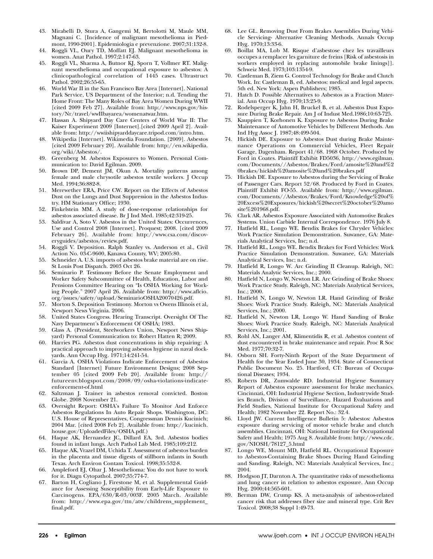- 43. Mirabelli D, Stura A, Gangemi M, Bertolotti M, Maule MM, Magnani C. [Incidence of malignant mesothelioma in Piedmont, 1990-2001]. Epidemiologia e prevenzione. 2007;31:132-8.
- 44. Roggli VL, Oury TD, Moffatt EJ. Malignant mesothelioma in women. Anat Pathol. 1997;2:147-63.
- 45. Roggli VL, Sharma A, Butnor KJ, Sporn T, Vollmer RT. Malignant mesothelioma and occupational exposure to asbestos: A clinicopathological correlation of 1445 cases. Ultrastruct Pathol. 2002;26:55-65.
- 46. World War II in the San Francisco Bay Area [Internet]. National Park Service, US Department of the Interior; n.d. Tending the Home Front: The Many Roles of Bay Area Women During WWII [cited 2009 Feb 27]. Available from: http://www.nps.gov/history/Nr/travel/wwIIbayarea/womenatwar.htm.
- 47. Hassan A. Shipyard Day Care Centers of World War II: The Kaiser Experiment 2009 [Internet].[cited 2009 April 2]. Available from: http://wwiishipyarddaycare.tripod.com/intro.htm.
- 48. Wikipedia [Internet]. Wikimedia Foundation. [2009]. Asbestos [cited 2009 February 20]. Available from: http://en.wikipedia. org/wiki/Asbestos/.
- 49. Greenberg M. Asbestos Exposures to Women. Personal Communication to: David Egilman. 2009.
- 50. Brown DP, Dement JM, Okun A. Mortality patterns among female and male chrysotile asbestos textile workers. J Occup Med. 1994;36:882-8.
- 51. Merewether ERA, Price CW. Report on the Effects of Asbestos Dust on the Lungs and Dust Suppression in the Asbestos Industry. HM Stationary Office; 1930.
- 52. Finkelstein MM. A study of dose-response relationships for asbestos associated disease. Br J Ind Med. 1985;42:319-25.
- 53. Saldivar A, Soto V. Asbestos in the United States: Occurrences, Use and Control 2008 [Internet]. Proquest; 2008. [cited 2009 February 26]. Available from: http://www.csa.com/discoveryguides/asbestos/review.pdf.
- 54. Roggli V. Deposition. Ralph Stanley vs. Anderson et al., Civil Action No. 03-C-9600, Kanawa County, WV; 2005:80.
- 55. Schneider A. U.S. imports of asbestos brake material are on rise. St Louis Post Dispatch. 2003 Oct 26.
- 56. Seminario P. Testimony Before the Senate Employment and Worker Safety Subcommittee of Health, Education, Labor and Pensions Committee Hearing on "Is OSHA Working for Working People." 2007 April 26. Available from: http://www.aflcio. org/issues/safety/upload/SeminarioOSHA20070426.pdf.
- 57. Morton S. Deposition Testimony. Morton vs Owens Illinois et al, Newport News Virginia. 2006.
- 58. United States Congress. Hearing Transcript. Oversight Of The Navy Department's Enforcement Of OSHA; 1983.
- 59. Glass A. (President, Steelworkers Union, Newport News Shipyard) Personal Communication to: Robert Hatten R; 2009.
- 60. Harries PG. Asbestos dust concentrations in ship repairing: A practical approach to improving asbestos hygiene in naval dockyards. Ann Occup Hyg. 1971;14:241-54.
- 61. Garcia A. OSHA Violations Indicate Enforcement of Asbestos Standard [Internet] Future Environment Designs; 2008 September 05 [cited 2009 Feb 20]. Available from: http:// futureenv.blogspot.com/2008/09/osha-violations-indicateenforcement-of.html
- 62. Saltzman J. Trainer in asbestos removal convicted. Boston Globe. 2008 November 21.
- 63. Oversight Report: OSHA's Failure To Monitor And Enforce Asbestos Regulations In Auto Repair Shops. Washington, DC: U.S. House of Representatives, Congressman Dennis Kucinich; 2004 Mar. [cited 2008 Feb 2]. Available from: http://kucinich. house.gov/UploadedFiles/OSHA.pdf.)
- 64. Haque AK, Hernandez JC, Dillard EA, 3rd. Asbestos bodies found in infant lungs. Arch Pathol Lab Med. 1985;109:212.
- 65. Haque AK, Vrazel DM, Uchida T. Assessment of asbestos burden in the placenta and tissue digests of stillborn infants in South Texas. Arch Environ Contam Toxicol. 1998;35:532-8.
- 66. Ampleford EJ, Ohar J. Mesothelioma: You do not have to work for it. Diagn Cytopathol. 2007;35:774-7.
- 67. Barton H, Cogliano J, Firestone M, et al. Supplemental Guidance for Assessing Susceptibility from Early-Life Exposure to Carcinogens. EPA/630/R-03/003F. 2005 March. Available from: http://www.epa.gov/ttn/atw/childrens\_supplement\_ final.pdf.
- 68. Lee GL. Removing Dust From Brakes Assemblies During Vehicle Servicing- Alternative Cleaning Methods. Annals Occup Hyg. 1970;13:33-6.
- 69. Boillat MA, Lob M. Risque d'asbestose chez les travailleurs occupes a remplacer les garniture de freins [Risk of asbestosis in workers employed in replacing automobile brake linings]]. Schweiz Med. 1973;103:1354-9.
- 70. Castleman B, Ziem G. Control Technology for Brake and Clutch Work. In: Castleman B, ed. Asbestos: medical and legal aspects. 5th ed. New York: Aspen Publishers; 1985.
- 71. Hatch D. Possible Alternatives to Asbestos as a Fraction Material. Ann Occup Hyg. 1970;13:25-9.
- 72. Rodelsperger K, Jahn H, Bruckel B, et al. Asbestos Dust Exposure During Brake Repair. Am J of Indust Med.1986;10:63-725.
- 73. Kauppien T, Korhonen K. Exposure to Asbestos During Brake Maintenance of Automotive Vehicles by Different Methods. Am Ind Hyg Assoc J. 1987;48:499-504.
- 74. Hickish DE. Exposure to Asbestos Dust during Brake Maintenance Operations on Commercial Vehicles, Fleet Repair Garage, Dagenham. Report 41/68. 1968 October. Produced by Ford in Coates. Plaintiff Exhibit FD5036, http://www.egilman. com/Documents//Asbestos/Brakes/Ford/amosite%20and%2 0brakes/hickish%20amosite%20and%20brakes.pdf
- 75. Hickish DE. Exposure to Asbestos during the Servicing of Brake of Passenger Cars. Report 52/68. Produced by Ford in Coates. Plaintiff Exhibit FO-55. Available from: http://www.egilman. com/Documents//Asbestos/Brakes/Ford/Knowledge%20of% 20Excess%20Exposures/hickish%20secret%20october%20amo site%201968.pdf.
- 76. Clark AR. Asbestos Exposure Associated with Automotive Brakes Systems. Union Carbide Internal Correspondence. 1976 July 8.
- 77. Hatfield RL, Longo WE. Bendix Brakes for Chrysler Vehicles: Work Practice Simulation Demonstration. Suwanee, GA: Materials Analytical Services, Inc; n.d.
- 78. Hatfield RL, Longo WE. Bendix Brakes for Ford Vehicles: Work Practice Simulation Demonstration. Suwanee, GA: Materials Analytical Services, Inc; n.d.
- 79. Hatfield R, Longo W. Arc Grinding II Cleanup. Raleigh, NC: Materials Analytic Services, Inc.; 2000.
- Hatfield N, Longo W, Newton LR. Arc Grinding of Brake Shoes: Work Practice Study. Raleigh, NC: Materials Analytical Services, Inc.; 2000.
- 81. Hatfield N, Longo W, Newton LR. Hand Grinding of Brake Shoes: Work Practice Study. Raleigh, NC: Materials Analytical Services, Inc.; 2000.
- 82. Hatfield N, Newton LR, Longo W. Hand Sanding of Brake Shoes: Work Practice Study. Raleigh, NC: Materials Analytical Services, Inc.; 2001.
- 83. Rohl AN, Langer AM, Klimentidis R, et al. Asbestos content of dust encountered in brake maintenance and repair. Proc R Soc Med. 1977;70:32-7.
- 84. Osborn SH. Forty-Ninth Report of the State Department of Health for the Year Ended June 30, 1934. State of Connecticut Public Document No. 25. Hartford, CT: Bureau of Occupational Diseases; 1934.
- 85. Roberts DR, Zumwalde RD. Industrial Hygiene Summary Report of Asbestos exposure assessment for brake mechanics. Cincinnati, OH: Industrial Hygiene Section, Industrywide Studies Branch, Division of Surveillance, Hazard Evaluations and Field Studies, National Institute for Occupational Safety and Health; 1982 November 22. Report No.: 32.4.
- 86. Lloyd JW. Current Intelligence Bulletin 5: Asbestos: Asbestos exposure during servicing of motor vehicle brake and clutch assemblies. Cincinnati, OH: National Institute for Occupational Safety and Health; 1975 Aug 8. Available from: http://www.cdc. gov/NIOSH/78127\_5.html
- 87. Longo WE, Mount MD, Hatfield RL. Occupational Exposure to Asbestos-Containing Brake Shoes During Hand Grinding and Sanding. Raleigh, NC: Materials Analytical Services, Inc.; 2004.
- 88. Hodgson JT, Darnton A. The quantitative risks of mesothelioma and lung cancer in relation to asbestos exposure. Ann Occup Hyg. 2000;44:565-601.
- Berman DW, Crump KS. A meta-analysis of asbestos-related cancer risk that addresses fiber size and mineral type. Crit Rev Toxicol. 2008;38 Suppl 1:49-73.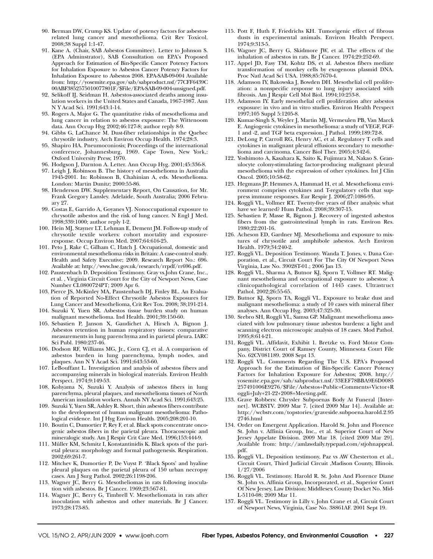- 90. Berman DW, Crump KS. Update of potency factors for asbestosrelated lung cancer and mesothelioma. Crit Rev Toxicol. 2008;38 Suppl 1:1-47.
- 91. Kane A. (Chair, SAB Asbestos Committee). Letter to Johnson S. (EPA Adminstrator), SAB Consultation on EPA's Proposed Approach for Estimation of Bin-Specific Cancer Potency Factors for Inhalation Exposure to Asbestos Cancer Potency Factors for Inhalation Exposure to Asbestos 2008. EPA-SAB-09-004 Available from: http://yosemite.epa.gov/sab/sabproduct.nsf/77CFF6439C 00ABF3852575010077801F/\$File/EPA-SAB-09-004-unsigned.pdf.
- 92. Selikoff IJ, Seidman H. Asbestos-associated deaths among insulation workers in the United States and Canada, 1967-1987. Ann N Y Acad Sci. 1991;643:1-14.
- 93. Rogers A, Major G. The quantitative risks of mesothelioma and lung cancer in relation to asbestos exposure: The Wittenoom data. Ann Occup Hyg 2002;46:127-8; author reply 8-9.
- 94. Gibbs G, LaChance M. Dust-fiber relationships in the Quebec chrysotile industry. Arch Environ Occup Health. 1974;28:3.
- 95. Shapiro HA. Pneumoconiosis; Proceedings of the international conference, Johannesburg, 1969. Cape Town, New York,: Oxford University Press; 1970.
- 96. Hodgson J, Darnton A. Letter. Ann Occup Hyg. 2001;45:336-8.
- 97. Leigh J, Robinson B. The history of mesothelioma in Australia 1945-2001. In: Robinson B, Chahinian A, eds. Mesothelioma. London: Martin Dunitz; 2000:55-86.
- 98. Henderson DW. Supplementary Report, On Causation, for Mr. Frank Gregory Lansley. Adelaide, South Australia; 2006 February 27.
- 99. Costas E, Garrido A, Goyanes VJ. Nonoccupational exposure to chrysotile asbestos and the risk of lung cancer. N Engl J Med. 1998;339:1000; author reply 1-2.
- 100. Hein MJ, Stayner LT, Lehman E, Dement JM. Follow-up study of chrysotile textile workers: cohort mortality and exposureresponse. Occup Environ Med. 2007;64:616-25.
- 101. Peto J, Rake C, Gilham C, Hatch J. Occupational, domestic and environmental mesothelioma risks in Britain: A case-control study. Health and Safety Executive; 2009. Research Report No.: 696. Available at: http://www.hse.gov.uk/research/rrpdf/rr696.pdf.
- 102. Paustenbach D. Deposition Testimony. Gray vs.John Crane, Inc., et al. , Virginia Circuit Court for the City of Newport News, Case Number CL0800724PT; 2009 Apr 6.
- 103. Pierce JS, McKinley MA, Paustenbach DJ, Finley BL. An Evaluation of Reported No-Effect Chrysotile Asbestos Exposures for Lung Cancer and Mesothelioma, Crit Rev Tox. 2008; 38;191-214.
- 104. Suzuki Y, Yuen SR. Asbestos tissue burden study on human malignant mesothelioma. Ind Health. 2001;39:150-60.
- 105. Sebastien P, Janson X, Gaudichet A, Hirsch A, Bignon J. Asbestos retention in human respiratory tissues: comparative measurements in lung parenchyma and in parietal pleura. IARC Sci Publ. 1980:237-46.
- 106. Dodson RF, Williams MG, Jr., Corn CJ, et al. A comparison of asbestos burden in lung parenchyma, lymph nodes, and plaques. Ann N Y Acad Sci. 1991;643:53-60.
- 107. LeBouffant L. Investigation and analysis of asbestos fibers and accompanying minerals in biological materials. Environ Health Perspect. 1974;9:149-53.
- 108. Kohyama N, Suzuki Y. Analysis of asbestos fibers in lung parenchyma, pleural plaques, and mesothelioma tissues of North American insulation workers. Annals NY Acad Sci. 1991;643:25.
- 109. Suzuki Y, Yuen SR, Ashley R. Short, thin asbestos fibers contribute to the development of human malignant mesothelioma: Pathological evidence. Int J Hyg Environ Health. 2005;208:201-10.
- 110. Boutin C, Dumortier P, Rey F, et al. Black spots concentrate oncogenic asbestos fibers in the parietal pleura. Thoracoscopic and mineralogic study. Am J Respir Crit Care Med. 1996;153:444-9.
- 111. Müller KM, Schmitz I, Konstantinidis K. Black spots of the parietal pleura: morphology and formal pathogenesis. Respiration. 2002;69:261-7.
- 112. Mitchev K, Dumortier P, De Vuyst P. 'Black Spots' and hyaline pleural plaques on the parietal pleura of 150 urban necropsy cases. Am J Surg Pathol. 2002;26:1198-206.
- 113. Wagner JC, Berry G. Mesotheliomas in rats following inoculation with asbestos. Br J Cancer. 1969;23:567-81.
- 114. Wagner JC, Berry G, Timbrell V. Mesotheliomata in rats after inoculation with asbestos and other materials. Br J Cancer. 1973;28:173-85.
- 115. Pott F, Huth F, Friedrichs KH. Tumorigenic effect of fibrous dusts in experimental animals. Environ Health Perspect. 1974;9:313-5.
- 116. Wagner JC, Berry G, Skidmore JW, et al. The effects of the inhalation of asbestos in rats. Br J Cancer. 1974;29:252-69.
- 117. Appel JD, Fasy TM, Kohtz DS, et al. Asbestos fibers mediate transformation of monkey cells by exogenous plasmid DNA. Proc Natl Acad Sci USA. 1988;85:7670-4.
- 118. Adamson IY, Bakowska J, Bowden DH. Mesothelial cell proliferation: a nonspecific response to lung injury associated with fibrosis. Am J Respir Cell Mol Biol. 1994;10:253-8.
- 119. Adamson IY. Early mesothelial cell proliferation after asbestos exposure: in vivo and in vitro studies. Environ Health Perspect 1997;105 Suppl 5:1205-8.
- 120. Kumar-Singh S, Weyler J, Martin MJ, Vermeulen PB, Van Marck E. Angiogenic cytokines in mesothelioma: a study of VEGF, FGF-1 and -2, and TGF beta expression. J Pathol. 1999;189:72-8.
- 121. DeLong P, Carroll RG, Henry AC, et al. Regulatory T cells and cytokines in malignant pleural effusions secondary to mesothelioma and carcinoma. Cancer Biol Ther. 2005;4:342-6.
- 122. Yoshimoto A, Kasahara K, Saito K, Fujimura M, Nakao S. Granulocyte colony-stimulating factor-producing malignant pleural mesothelioma with the expression of other cytokines. Int J Clin Oncol. 2005;10:58-62.
- 123. Hegmans JP, Hemmes A, Hammad H, et al. Mesothelioma environment comprises cytokines and T-regulatory cells that suppress immune responses. Eur Respir J. 2006;27:1086-95.
- 124. Roggli VL, Vollmer RT. Twenty-five years of fiber analysis: what have we learned? Hum Pathol. 2008;39:307-15.
- 125. Sebastien P, Masse R, Bignon J. Recovery of ingested asbestos fibers from the gastrointestinal lymph in rats. Environ Res. 1980;22:201-16.
- 126. Acheson ED, Gardner MJ. Mesothelioma and exposure to mixtures of chrysotile and amphibole asbestos. Arch Environ Health. 1979;34:240-2.
- 127. Roggli VL. Deposition Testimony. Wanda T. Jones, v. Dana Corporation, et al., Circuit Court For The City Of Newport News Virginia, Law No. 39028T-01.; 2006 Jan 13.
- 128. Roggli VL, Sharma A, Butnor KJ, Sporn T, Vollmer RT. Malignant mesothelioma and occupational exposure to asbestos: A clinicopathological correlation of 1445 cases. Ultrastruct Pathol. 2002;26:55-65.
- 129. Butnor KJ, Sporn TA, Roggli VL. Exposure to brake dust and malignant mesothelioma: a study of 10 cases with mineral fiber analyses. Ann Occup Hyg. 2003;47:325-30.
- 130. Srebro SH, Roggli VL, Samsa GP. Malignant mesothelioma associated with low pulmonary tissue asbestos burdens: a light and scanning electron microscopic analysis of 18 cases. Mod Pathol. 1995;8:614-21.
- 131. Roggli VL. Affidavit, Exhibit 1. Bretzke vs. Ford Motor Company, District Court of Ramsey County, Minnesota Court File No. 62CV081189. 2008 Sept 13.
- 132. Roggli VL. Comments Regarding The U.S. EPA's Proposed Approach for the Estimation of Bin-Specific Cancer Potency Factors for Inhalation Exposure for Asbestos; 2008. http:// yosemite.epa.gov/sab/sabproduct.nsf/33EEF78BBA9E6D0085 257491006E9276/\$File/Asbestos+Public+Comments+Victor+R oggli+July+21-22+2008+Meeting.pdf.
- 133. Grave Robbers: Chrysler Subpoenas Body At Funeral [Internet]. WCBSTV. 2009 Mar 7. [cited 2009 Mar 14]. Available at: http://wcbstv.com/topstories/graveside.subpoena.harold.2.95 2746.html
- 134. Order on Emergent Application. Harold St. John and Florence St. John v. Affinia Group, Inc., et al. Superior Court of New Jersey Appelate Division. 2009 Mar 18. [cited 2009 Mar 29]. Available from: http://amlawdaily.typepad.com/stjohnappeal. pdf.
- 135. Roggli VL. Deposition testimony, Paz vs AW Chesterton et al., Circuit Court, Third Judicial Circuit ,Madison County, Illinois. 1/27/2006
- 136. Roggli VL. Testimony. Harold R. St. John And Florence Diane St. John vs. Affinia Group, Incorporated, et al., Superior Court Of New Jersey, Law Division: Middlesex County Docket No. Mid-L-5110-08; 2009 Mar 11.
- 137. Roggli VL. Testimony in Lilly v. John Crane et al, Circuit Court of Newport News, Virginia, Case No. 38861AF. 2001 Sept 19.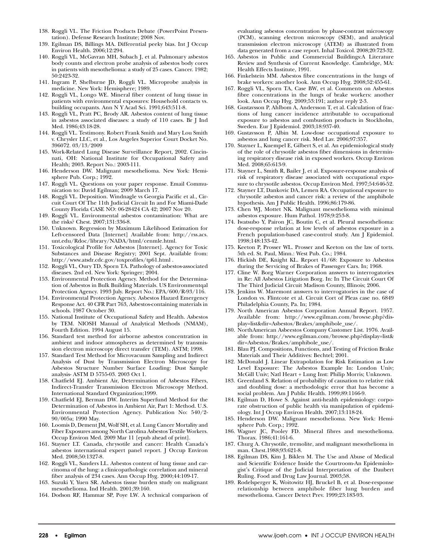- 138. Roggli VL. The Friction Products Debate (PowerPoint Presentation). Defense Research Institute; 2008 Nov.
- 139. Egilman DS, Billings MA. Differential peeky bias. Int J Occup Environ Health. 2006;12:294.
- 140. Roggli VL, McGavran MH, Subach J, et al. Pulmonary asbestos body counts and electron probe analysis of asbestos body cores in patients with mesothelioma: a study of 25 cases. Cancer. 1982; 50:2423-32.
- 141. Ingram P, Shelburne JD, Roggli VL. Microprobe analysis in medicine. New York: Hemisphere; 1989.
- 142. Roggli VL, Longo WE. Mineral fiber content of lung tissue in patients with environmental exposures: Household contacts vs. building occupants. Ann N Y Acad Sci. 1991;643:511-8.
- 143. Roggli VL, Pratt PC, Brody AR. Asbestos content of lung tissue in asbestos associated diseases: a study of 110 cases. Br J Ind Med. 1986;43:18-28.
- 144. Roggli VL. Testimony. Robert Frank Smith and Mary Lou Smith v. Chrysler LLC, et al., Los Angeles Superior Court Docket No. 396072. 03/13/2009
- 145. Work-Related Lung Disease Surveillance Report, 2002. Cincinnati, OH: National Institute for Occupational Safety and Health; 2003. Report No.: 2003-111.
- 146. Henderson DW. Malignant mesothelioma. New York: Hemisphere Pub. Corp.; 1992.
- 147. Roggli VL. Questions on your paper response. Email Communication to: David Egilman; 2009 March 17.
- 148. Roggli VL. Deposition. Windnagle vs Georgia Pacific et al., Circuit Court Of The 11th Judicial Circuit In and For Miami-Dade County Florida CASE NO: 06-28424 CA 42; 2007 Nov 20.
- 149. Roggli VL. Environmental asbestos contamination: What are the risks? Chest. 2007;131:336-8.
- 150. Unknown. Regression by Maximum Likelihood Estimation for Left-censored Data [Internet] Available from: http://rss.acs. unt.edu/Rdoc/library/NADA/html/cenmle.html.
- 151. Toxicological Profile for Asbestos [Internet]. Agency for Toxic Substances and Disease Registry; 2001 Sept. Available from: http://www.atsdr.cdc.gov/toxprofiles/tp61.html .
- 152. Roggli VL, Oury TD, Sporn TA. Pathology of asbestos-associated diseases. 2nd ed. New York: Springer; 2004.
- 153. Environmental Protection Agency. Method for the Determination of Asbestos in Bulk Building Materials. US Environmentqal Protection Agency. 1993 July. Report No.: EPA/600/R-93/116.
- 154. Environmental Protection Agency. Asbestos Hazard Emergency Response Act. 40 CFR Part 763, Asbestos-containing materials in schools. 1987 October 30.
- 155. National Institute of Occupational Safety and Health. Asbestos by TEM. NIOSH Manual of Analytical Methods (NMAM), Fourth Edition. 1994 August 15.
- 156. Standard test method for airborne asbestos concentration in ambient and indoor atmospheres as determined by transmission electron microscopy direct transfer (TEM). ASTM; 1998.
- 157. Standard Test Method for Microvacuum Sampling and Indirect Analysis of Dust by Transmission Electron Microscopy for Asbestos Structure Number Surface Loading: Dust Sample analysis- ASTM D 5755-03. 2003 Oct 1.
- 158. Chatfield EJ. Ambient Air, Determination of Asbestos Fibers, Indirect-Transfer Transmission Electron Microscopy Method. International Standard Organization;1999.
- 159. Chatfield EJ, Berman DW. Interim Superfund Method for the Determination of Asbestos in Ambient Air, Part 1: Method. U.S. Environmental Protection Agency. Publication No: 540/2- 90/005a; 1990 May.
- 160. Loomis D, Dement JM, Wolf SH, et al. Lung Cancer Mortality and Fiber Exposures among North Carolina Asbestos Textile Workers. Occup Environ Med. 2009 Mar 11 [epub ahead of print].
- 161. Stayner LT. Canada, chrysotile and cancer: Health Canada's asbestos international expert panel report. J Occup Environ Med. 2008;50:1327-8.
- 162. Roggli VL, Sanders LL. Asbestos content of lung tissue and carcinoma of the lung: a clinicopathologic correlation and mineral fiber analysis of 234 cases. Ann Occup Hyg. 2000;44:109-17.
- 163. Suzuki Y, Yuen SR. Asbestos tissue burden study on malignant mesothelioma. Ind Health. 2001;39:160.
- 164. Dodson RF, Hammar SP, Poye LW. A technical comparison of

evaluating asbestos concentration by phase-contrast microscopy (PCM), scanning electron microscopy (SEM), and analytical transmission electron microscopy (ATEM) as illustrated from data generated from a case report. Inhal Toxicol. 2008;20:723-32.

- 165. Asbestos in Public and Commercial Buildings:A Literature Review and Synthesis of Current Knowledge. Cambridge, MA: Health Effects Institute, 1991.
- 166. Finkelstein MM. Asbestos fibre concentrations in the lungs of brake workers: another look. Ann Occup Hyg. 2008;52:455-61.
- 167. Roggli VL, Sporn TA, Case BW, et al. Comments on Asbestos fibre concentrations in the lungs of brake workers: another look. Ann Occup Hyg. 2009;53:191; author reply 2-3.
- 168. Gustavsson P, Ahlbom A, Andersson T, et al. Calculation of fractions of lung cancer incidence attributable to occupational exposure to asbestos and combustion products in Stockholm, Sweden. Eur J Epidemiol. 2003;18:937-40.
- 169. Gustavsson P, Albin M. Low-dose occupational exposure to asbestos and lung cancer risk. Med Lav. 2006;97:357.
- 170. Stayner L, Kuempel E, Gilbert S, et al. An epidemiological study of the role of chrysotile asbestos fiber dimensions in determining respiratory disease risk in exposed workers. Occup Environ Med. 2008;65:613-9.
- 171. Stayner L, Smith R, Bailer J, et al. Exposure-response analysis of risk of respiratory disease associated with occupational exposure to chrysotile asbestos. Occup Environ Med. 1997;54:646-52.
- 172. Stayner LT, Dankovic DA, Lemen RA. Occupational exposure to chrysotile asbestos and cancer risk: a review of the amphibole hypothesis. Am J Public Health. 1996;86:179-86.
- 173. Chen WJ, Mottet NK. Malignant mesothelioma with minimal asbestos exposure. Hum Pathol. 1978;9:253-8.
- 174. Iwatsubo Y, Pairon JC, Boutin C, et al. Pleural mesothelioma: dose-response relation at low levels of asbestos exposure in a French population-based case-control study. Am J Epidemiol. 1998;148:133-42.
- 175. Keeton P, Prosser WL. Prosser and Keeton on the law of torts. 5th ed. St. Paul, Minn.: West Pub. Co.; 1984.
- 176. Hickish DE, Knight KL. Report 41/68: Exposure to Asbestos during the Servicing of Brakes of Passenger Cars. In; 1968.
- 177. Cline W. Borg Warner Corporation answers to interrogatories in Re: All Asbestos Litigation Borg. In: In The Circuit Court Of The Third Judicial Circuit Madison County, Illinois; 2006.
- 178. Jenkins W. Maremont answers to interrogatories in the case of London vs. Flintcote et al. Circuit Cort of Pleas case no. 6849 Philadelphia County, Pa. In; 1984.
- 179. North American Asbestos Corporation Annual Report. 1957. Available from: http://www.egilman.com/browse.php?display=list&dir=Asbestos/Brakes/amphibole\_use/.
- 180. NorthAmerican Asbeestos Company Customer List. 1976. Available from: http://www.egilman.com/browse.php?display=list& dir=Asbestos/Brakes/amphibole\_use/.
- 181. Blau PJ. Compositions, Functions, and Testing of Friction Brake Materials and Their Additives: Bechtel; 2001.
- 182. McDonald J. Linear Extrapolation for Risk Estimation as Low Level Exposure: The Asbestos Example In: London Univ; McGill Univ; Natl Heart + Lung Inst: Philip Morris; Unknown.
- 183. Greenland S. Relation of probability of causation to relative risk and doubling dose: a methodologic error that has become a social problem. Am J Public Health. 1999;89:1166-9.
- 184. Egilman D, Howe S. Against anti-health epidemiology: corporate obstruction of public health via manipulation of epidemiology. Int J Occup Environ Health. 2007;13:118-24.
- 185. Henderson DW. Malignant mesothelioma. New York: Hemisphere Pub. Corp.; 1992.
- 186. Wagner JC, Pooley FD. Mineral fibres and mesothelioma. Thorax. 1986;41:161-6.
- 187. Churg A. Chrysotile, tremolite, and malignant mesothelioma in man. Chest.1988;93:621-8.
- 188. Egilman DS, Kim J, Biklen M. The Use and Abuse of Medical and Scientific Evidence Inside the Courtroom-An Epidemiologist's Critique of the Judicial Interpretation of the Daubert Ruling. Food and Drug Law Journal. 2003;58.
- 189. Rodelsperger K, Woitowitz HJ, Bruckel B, et al. Dose-response relationship between amphibole fiber lung burden and mesothelioma. Cancer Detect Prev. 1999;23:183-93.